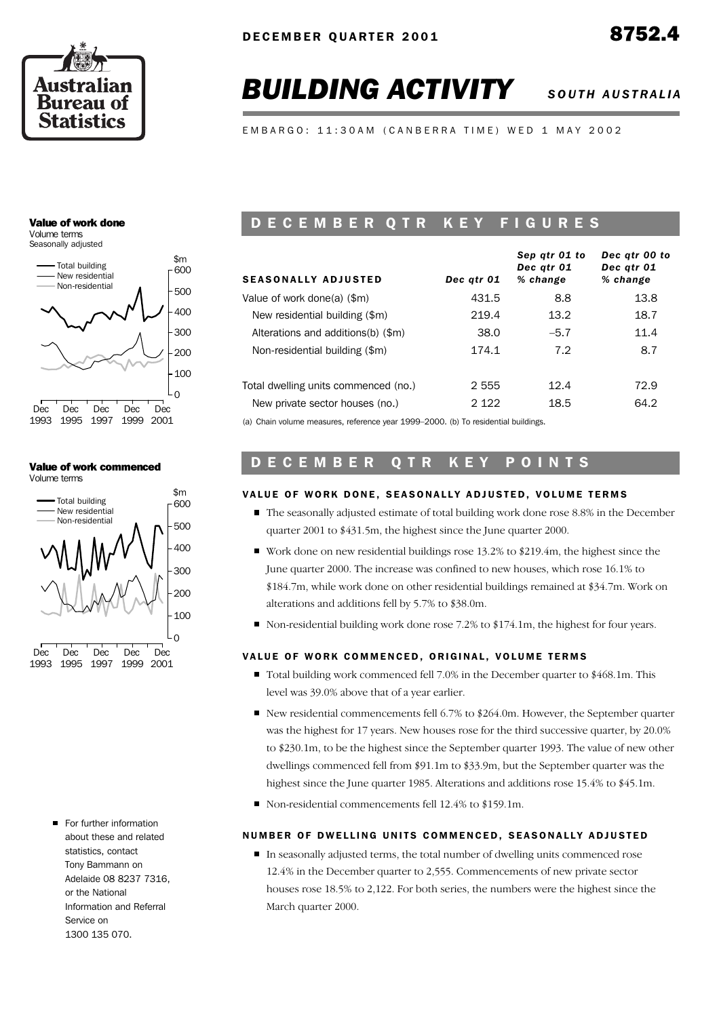

# **BUILDING ACTIVITY** SOUTH AUSTRALIA

*Dec qtr 00 to*

*Sep qtr 01 to*

E M B A R G O : 11:30 A M ( C A N B E R R A T I M E ) W E D 1 M A Y 2002

#### Value of work done Volume terms

Seasonally adjusted



#### Value of work commenced Volume terms



For further information about these and related statistics, contact Tony Bammann on Adelaide 08 8237 7316, or the National Information and Referral Service on 1300 135 070.

## D E C E M B E R Q T R K E Y F I G U R E S

| <b>SEASONALLY ADJUSTED</b>                                                      | Dec qtr 01 | SED UIT UT IO<br>Dec atr 01<br>% change | Dec qu vu lo<br>Dec atr 01<br>% change |
|---------------------------------------------------------------------------------|------------|-----------------------------------------|----------------------------------------|
| Value of work done(a) (\$m)                                                     | 431.5      | 8.8                                     | 13.8                                   |
| New residential building (\$m)                                                  | 219.4      | 13.2                                    | 18.7                                   |
| Alterations and additions(b) (\$m)                                              | 38.0       | $-5.7$                                  | 11.4                                   |
| Non-residential building (\$m)                                                  | 174.1      | 7.2                                     | 8.7                                    |
| Total dwelling units commenced (no.)                                            | 2 5 5 5    | 12.4                                    | 72.9                                   |
| New private sector houses (no.)                                                 | 2 1 2 2    | 18.5                                    | 64.2                                   |
| (a) Chain volume measures reference year 1999-2000 (b) To residential buildings |            |                                         |                                        |

(a) Chain volume measures, reference year 1999–2000. (b) To residential buildings.

## D E C E M B E R Q T R K E Y P O I N T S

## VALUE OF WORK DONE, SEASONALLY ADJUSTED, VOLUME TERMS

- The seasonally adjusted estimate of total building work done rose 8.8% in the December quarter 2001 to \$431.5m, the highest since the June quarter 2000.
- Work done on new residential buildings rose 13.2% to \$219.4m, the highest since the June quarter 2000. The increase was confined to new houses, which rose 16.1% to \$184.7m, while work done on other residential buildings remained at \$34.7m. Work on alterations and additions fell by 5.7% to \$38.0m.
- Non-residential building work done rose 7.2% to \$174.1m, the highest for four years.

## VALUE OF WORK COMMENCED, ORIGINAL, VOLUME TERMS

- Total building work commenced fell 7.0% in the December quarter to \$468.1m. This level was 39.0% above that of a year earlier.
- New residential commencements fell  $6.7\%$  to \$264.0m. However, the September quarter was the highest for 17 years. New houses rose for the third successive quarter, by 20.0% to \$230.1m, to be the highest since the September quarter 1993. The value of new other dwellings commenced fell from \$91.1m to \$33.9m, but the September quarter was the highest since the June quarter 1985. Alterations and additions rose 15.4% to \$45.1m.
- Non-residential commencements fell 12.4% to \$159.1m.

## NUMBER OF DWELLING UNITS COMMENCED, SEASONALLY ADJUSTED

In seasonally adjusted terms, the total number of dwelling units commenced rose 12.4% in the December quarter to 2,555. Commencements of new private sector houses rose 18.5% to 2,122. For both series, the numbers were the highest since the March quarter 2000.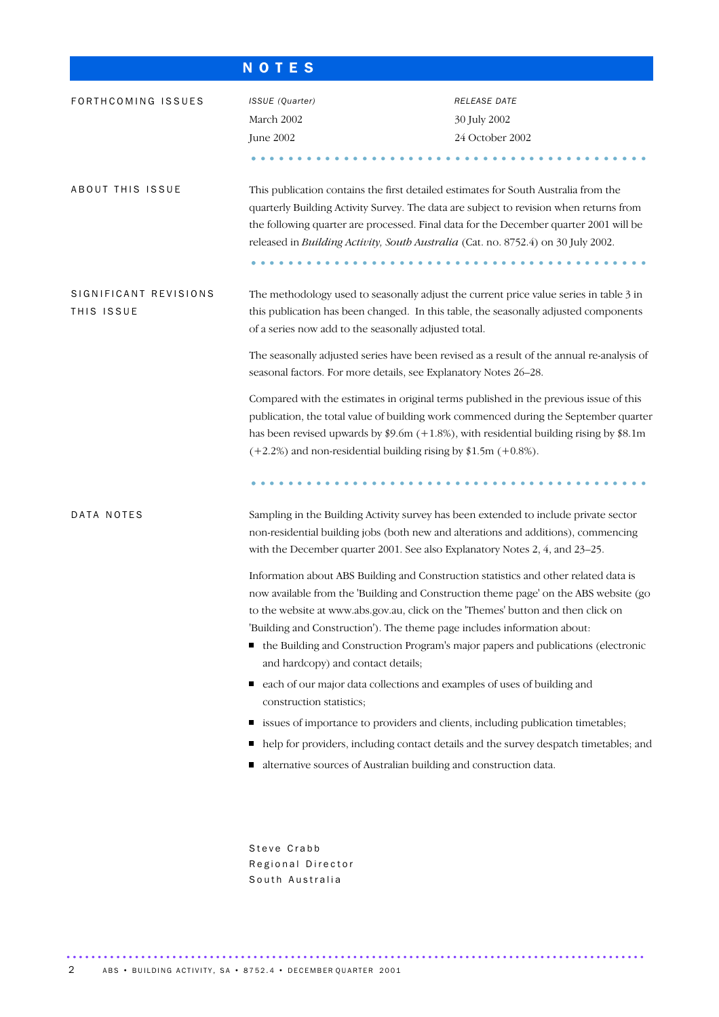## N O T E S

| FORTHCOMING ISSUES                  | ISSUE (Quarter)                                                                                                                                                                                                                                                                                                                                  | RELEASE DATE                                                                                                                                                                                                                                                      |  |  |  |  |  |  |
|-------------------------------------|--------------------------------------------------------------------------------------------------------------------------------------------------------------------------------------------------------------------------------------------------------------------------------------------------------------------------------------------------|-------------------------------------------------------------------------------------------------------------------------------------------------------------------------------------------------------------------------------------------------------------------|--|--|--|--|--|--|
|                                     | March 2002                                                                                                                                                                                                                                                                                                                                       | 30 July 2002                                                                                                                                                                                                                                                      |  |  |  |  |  |  |
|                                     | June 2002                                                                                                                                                                                                                                                                                                                                        | 24 October 2002                                                                                                                                                                                                                                                   |  |  |  |  |  |  |
|                                     |                                                                                                                                                                                                                                                                                                                                                  |                                                                                                                                                                                                                                                                   |  |  |  |  |  |  |
| ABOUT THIS ISSUE                    | This publication contains the first detailed estimates for South Australia from the<br>released in Building Activity, South Australia (Cat. no. 8752.4) on 30 July 2002.<br>.                                                                                                                                                                    | quarterly Building Activity Survey. The data are subject to revision when returns from<br>the following quarter are processed. Final data for the December quarter 2001 will be                                                                                   |  |  |  |  |  |  |
| SIGNIFICANT REVISIONS<br>THIS ISSUE | of a series now add to the seasonally adjusted total.                                                                                                                                                                                                                                                                                            | The methodology used to seasonally adjust the current price value series in table 3 in<br>this publication has been changed. In this table, the seasonally adjusted components                                                                                    |  |  |  |  |  |  |
|                                     | seasonal factors. For more details, see Explanatory Notes 26–28.                                                                                                                                                                                                                                                                                 | The seasonally adjusted series have been revised as a result of the annual re-analysis of                                                                                                                                                                         |  |  |  |  |  |  |
|                                     | Compared with the estimates in original terms published in the previous issue of this<br>publication, the total value of building work commenced during the September quarter<br>has been revised upwards by $$9.6m (+1.8%),$ with residential building rising by $$8.1m$<br>$(+2.2%)$ and non-residential building rising by \$1.5m $(+0.8%)$ . |                                                                                                                                                                                                                                                                   |  |  |  |  |  |  |
|                                     |                                                                                                                                                                                                                                                                                                                                                  |                                                                                                                                                                                                                                                                   |  |  |  |  |  |  |
| DATA NOTES                          | with the December quarter 2001. See also Explanatory Notes 2, 4, and 23-25.                                                                                                                                                                                                                                                                      | Sampling in the Building Activity survey has been extended to include private sector<br>non-residential building jobs (both new and alterations and additions), commencing                                                                                        |  |  |  |  |  |  |
|                                     | to the website at www.abs.gov.au, click on the 'Themes' button and then click on<br>'Building and Construction'). The theme page includes information about:<br>and hardcopy) and contact details;                                                                                                                                               | Information about ABS Building and Construction statistics and other related data is<br>now available from the 'Building and Construction theme page' on the ABS website (go<br>the Building and Construction Program's major papers and publications (electronic |  |  |  |  |  |  |
|                                     | each of our major data collections and examples of uses of building and<br>п<br>construction statistics;                                                                                                                                                                                                                                         |                                                                                                                                                                                                                                                                   |  |  |  |  |  |  |
|                                     | п                                                                                                                                                                                                                                                                                                                                                | issues of importance to providers and clients, including publication timetables;                                                                                                                                                                                  |  |  |  |  |  |  |
|                                     |                                                                                                                                                                                                                                                                                                                                                  | help for providers, including contact details and the survey despatch timetables; and                                                                                                                                                                             |  |  |  |  |  |  |
|                                     | alternative sources of Australian building and construction data.<br>щ                                                                                                                                                                                                                                                                           |                                                                                                                                                                                                                                                                   |  |  |  |  |  |  |
|                                     |                                                                                                                                                                                                                                                                                                                                                  |                                                                                                                                                                                                                                                                   |  |  |  |  |  |  |
|                                     | Steve Crabb<br>Regional Director<br>South Australia                                                                                                                                                                                                                                                                                              |                                                                                                                                                                                                                                                                   |  |  |  |  |  |  |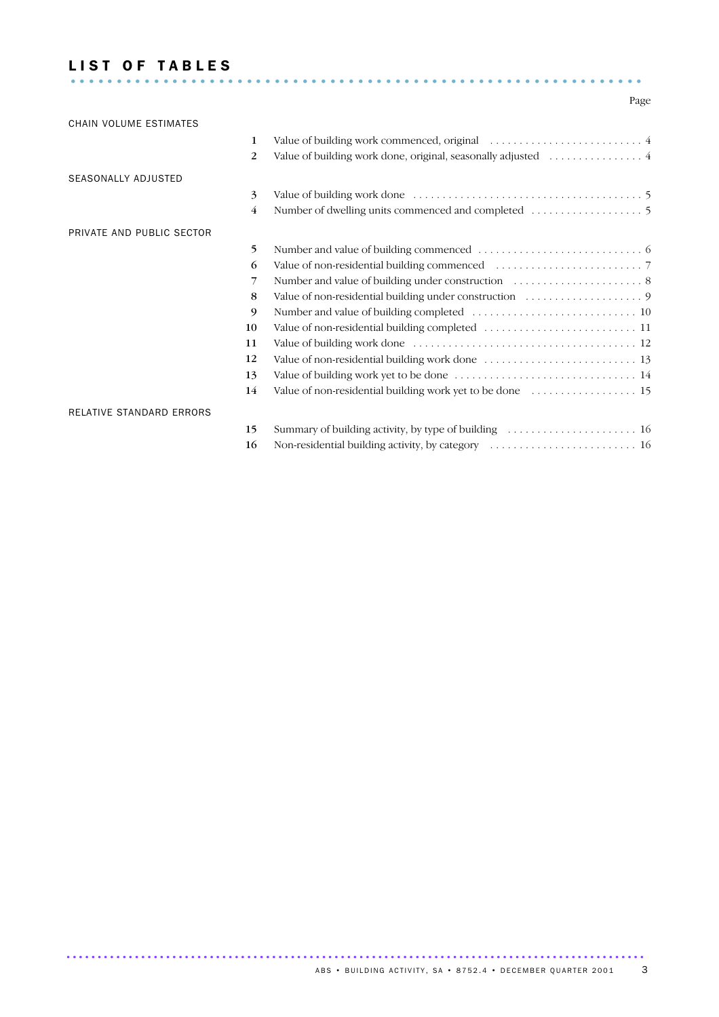## LIST OF TABLES ..............................................................

## Page

| CHAIN VOLUME ESTIMATES          |                |  |
|---------------------------------|----------------|--|
|                                 | 1              |  |
|                                 | 2              |  |
| SEASONALLY ADJUSTED             |                |  |
|                                 | 3              |  |
|                                 | $\overline{4}$ |  |
| PRIVATE AND PUBLIC SECTOR       |                |  |
|                                 | 5              |  |
|                                 | 6              |  |
|                                 | 7              |  |
|                                 | 8              |  |
|                                 | 9              |  |
|                                 | 10             |  |
|                                 | 11             |  |
|                                 | 12             |  |
|                                 | 13             |  |
|                                 | 14             |  |
| <b>RELATIVE STANDARD ERRORS</b> |                |  |
|                                 | 15             |  |
|                                 | 16             |  |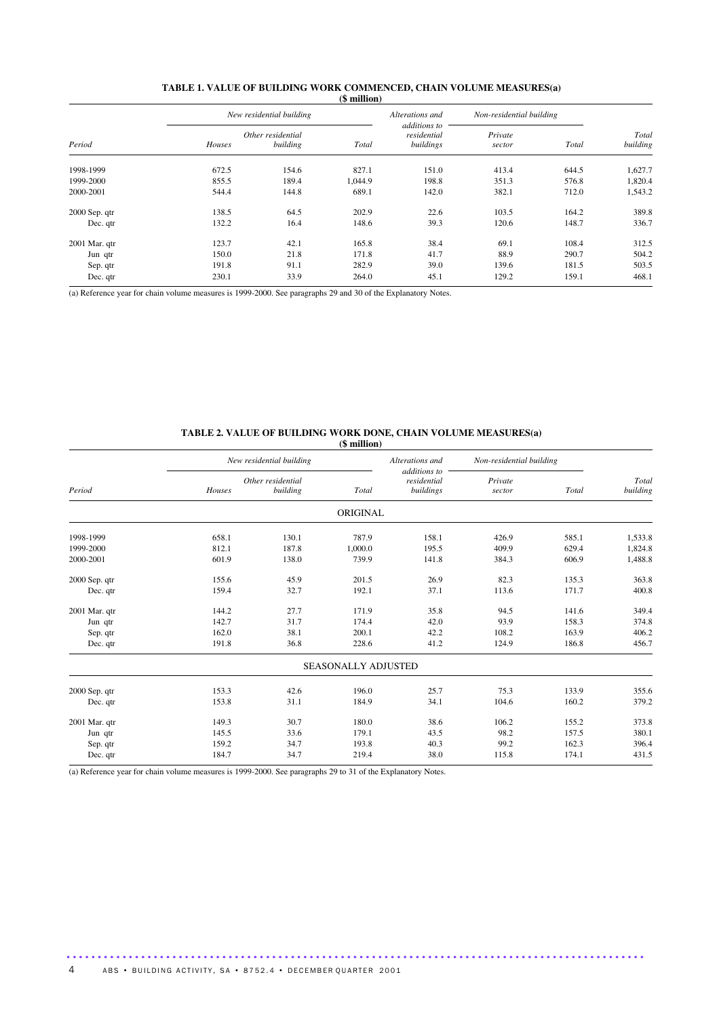|               |        | New residential building      |         | Alterations and                          | Non-residential building |       |                   |
|---------------|--------|-------------------------------|---------|------------------------------------------|--------------------------|-------|-------------------|
| Period        | Houses | Other residential<br>building | Total   | additions to<br>residential<br>buildings | Private<br>sector        | Total | Total<br>building |
| 1998-1999     | 672.5  | 154.6                         | 827.1   | 151.0                                    | 413.4                    | 644.5 | 1,627.7           |
| 1999-2000     | 855.5  | 189.4                         | 1,044.9 | 198.8                                    | 351.3                    | 576.8 | 1,820.4           |
| 2000-2001     | 544.4  | 144.8                         | 689.1   | 142.0                                    | 382.1                    | 712.0 | 1,543.2           |
| 2000 Sep. qtr | 138.5  | 64.5                          | 202.9   | 22.6                                     | 103.5                    | 164.2 | 389.8             |
| Dec. qtr      | 132.2  | 16.4                          | 148.6   | 39.3                                     | 120.6                    | 148.7 | 336.7             |
| 2001 Mar. qtr | 123.7  | 42.1                          | 165.8   | 38.4                                     | 69.1                     | 108.4 | 312.5             |
| Jun qtr       | 150.0  | 21.8                          | 171.8   | 41.7                                     | 88.9                     | 290.7 | 504.2             |
| Sep. qtr      | 191.8  | 91.1                          | 282.9   | 39.0                                     | 139.6                    | 181.5 | 503.5             |
| Dec. qtr      | 230.1  | 33.9                          | 264.0   | 45.1                                     | 129.2                    | 159.1 | 468.1             |

#### **TABLE 1. VALUE OF BUILDING WORK COMMENCED, CHAIN VOLUME MEASURES(a) (\$ million)**

(a) Reference year for chain volume measures is 1999-2000. See paragraphs 29 and 30 of the Explanatory Notes.

#### **TABLE 2. VALUE OF BUILDING WORK DONE, CHAIN VOLUME MEASURES(a) (\$ million)**

|        |          | $(\varphi$ municipal                          |                 |                                                                |         |                          |
|--------|----------|-----------------------------------------------|-----------------|----------------------------------------------------------------|---------|--------------------------|
|        |          |                                               | Alterations and |                                                                |         | Total<br>building        |
|        |          |                                               |                 |                                                                |         |                          |
| Houses | building | Total                                         | buildings       | sector                                                         | Total   |                          |
|        |          |                                               |                 |                                                                |         |                          |
| 658.1  | 130.1    | 787.9                                         | 158.1           | 426.9                                                          | 585.1   | 1,533.8                  |
| 812.1  | 187.8    | 1,000.0                                       | 195.5           | 409.9                                                          | 629.4   | 1,824.8                  |
| 601.9  | 138.0    | 739.9                                         | 141.8           | 384.3                                                          | 606.9   | 1,488.8                  |
| 155.6  | 45.9     | 201.5                                         | 26.9            | 82.3                                                           | 135.3   | 363.8                    |
| 159.4  | 32.7     | 192.1                                         | 37.1            | 113.6                                                          | 171.7   | 400.8                    |
| 144.2  | 27.7     | 171.9                                         | 35.8            | 94.5                                                           | 141.6   | 349.4                    |
| 142.7  | 31.7     | 174.4                                         | 42.0            | 93.9                                                           | 158.3   | 374.8                    |
| 162.0  | 38.1     | 200.1                                         | 42.2            | 108.2                                                          | 163.9   | 406.2                    |
| 191.8  | 36.8     | 228.6                                         | 41.2            | 124.9                                                          | 186.8   | 456.7                    |
|        |          |                                               |                 |                                                                |         |                          |
| 153.3  | 42.6     | 196.0                                         | 25.7            | 75.3                                                           | 133.9   | 355.6                    |
| 153.8  | 31.1     | 184.9                                         | 34.1            | 104.6                                                          | 160.2   | 379.2                    |
| 149.3  | 30.7     | 180.0                                         | 38.6            | 106.2                                                          | 155.2   | 373.8                    |
| 145.5  | 33.6     | 179.1                                         | 43.5            | 98.2                                                           | 157.5   | 380.1                    |
| 159.2  | 34.7     | 193.8                                         | 40.3            | 99.2                                                           | 162.3   | 396.4                    |
| 184.7  | 34.7     | 219.4                                         | 38.0            | 115.8                                                          | 174.1   | 431.5                    |
|        |          | New residential building<br>Other residential |                 | additions to<br>residential<br>ORIGINAL<br>SEASONALLY ADJUSTED | Private | Non-residential building |

.............................................................................................

(a) Reference year for chain volume measures is 1999-2000. See paragraphs 29 to 31 of the Explanatory Notes.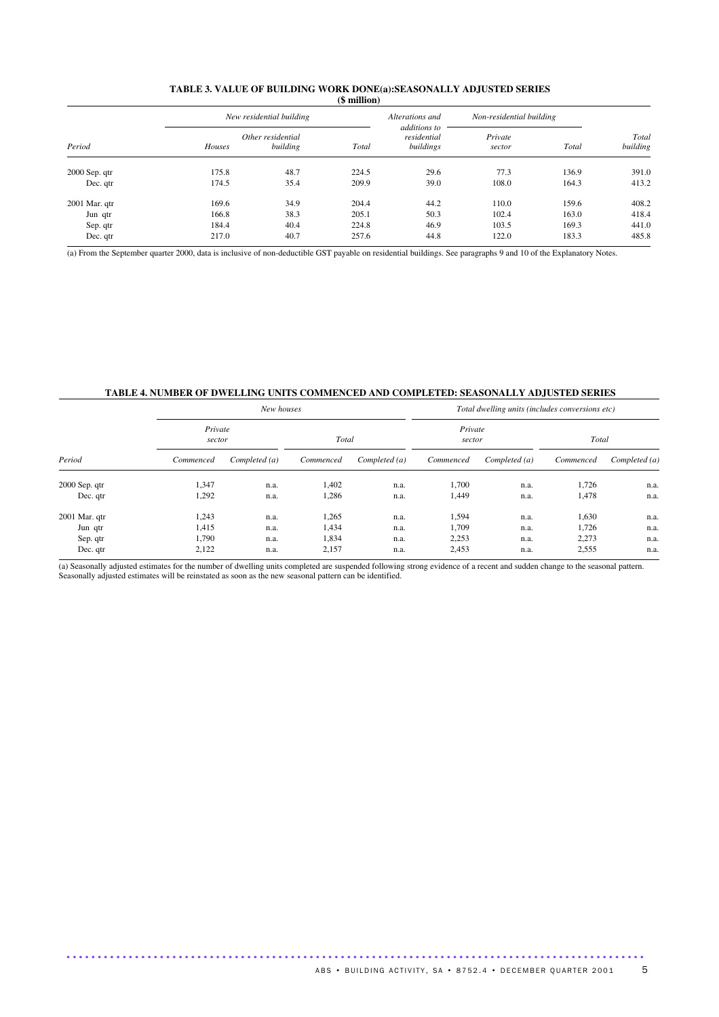| <b>TABLE 3. VALUE OF BUILDING WORK DONE(a):SEASONALLY ADJUSTED SERIES</b> |
|---------------------------------------------------------------------------|
| (\$ million)                                                              |

| Period          |        | New residential building      |       | Alterations and                          | Non-residential building |       |                   |
|-----------------|--------|-------------------------------|-------|------------------------------------------|--------------------------|-------|-------------------|
|                 | Houses | Other residential<br>building | Total | additions to<br>residential<br>buildings | Private<br>sector        | Total | Total<br>building |
| $2000$ Sep. qtr | 175.8  | 48.7                          | 224.5 | 29.6                                     | 77.3                     | 136.9 | 391.0             |
| Dec. qtr        | 174.5  | 35.4                          | 209.9 | 39.0                                     | 108.0                    | 164.3 | 413.2             |
| $2001$ Mar. qtr | 169.6  | 34.9                          | 204.4 | 44.2                                     | 110.0                    | 159.6 | 408.2             |
| Jun qtr         | 166.8  | 38.3                          | 205.1 | 50.3                                     | 102.4                    | 163.0 | 418.4             |
| Sep. qtr        | 184.4  | 40.4                          | 224.8 | 46.9                                     | 103.5                    | 169.3 | 441.0             |
| Dec. qtr        | 217.0  | 40.7                          | 257.6 | 44.8                                     | 122.0                    | 183.3 | 485.8             |

(a) From the September quarter 2000, data is inclusive of non-deductible GST payable on residential buildings. See paragraphs 9 and 10 of the Explanatory Notes.

## **TABLE 4. NUMBER OF DWELLING UNITS COMMENCED AND COMPLETED: SEASONALLY ADJUSTED SERIES**

| Period        |                   | New houses    |           |               | Total dwelling units (includes conversions etc) |               |           |               |  |  |  |
|---------------|-------------------|---------------|-----------|---------------|-------------------------------------------------|---------------|-----------|---------------|--|--|--|
|               | Private<br>sector |               | Total     |               | Private<br>sector                               |               | Total     |               |  |  |  |
|               | Commenced         | Completed (a) | Commenced | Completed (a) | Commenced                                       | Completed (a) | Commenced | Completed (a) |  |  |  |
| 2000 Sep. qtr | 1,347             | n.a.          | 1.402     | n.a.          | 1,700                                           | n.a.          | 1,726     | n.a.          |  |  |  |
| Dec. qtr      | 1,292             | n.a.          | 1,286     | n.a.          | 1,449                                           | n.a.          | 1,478     | n.a.          |  |  |  |
| 2001 Mar. qtr | 1,243             | n.a.          | 1,265     | n.a.          | 1,594                                           | n.a.          | 1,630     | n.a.          |  |  |  |
| Jun qtr       | 1,415             | n.a.          | 1,434     | n.a.          | 1,709                                           | n.a.          | 1,726     | n.a.          |  |  |  |
| Sep. qtr      | 1,790             | n.a.          | 1,834     | n.a.          | 2,253                                           | n.a.          | 2,273     | n.a.          |  |  |  |
| Dec. qtr      | 2,122             | n.a.          | 2,157     | n.a.          | 2,453                                           | n.a.          | 2,555     | n.a.          |  |  |  |

 $\overline{a}$ ) Seasonally adjusted estimates for the number of dwelling units completed are suspended following strong evidence of a recent and sudden change to the seasonal pattern. Seasonally adjusted estimates will be reinstated as soon as the new seasonal pattern can be identified.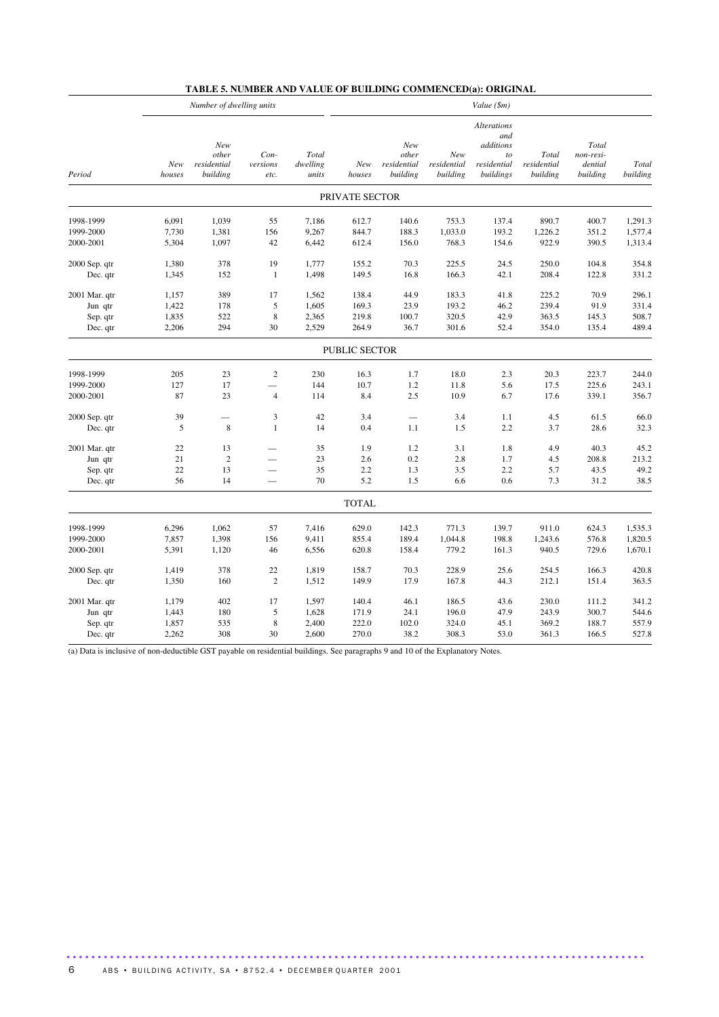|               | Number of dwelling units<br>Value (\$m) |                                         |                             |                            |                      |                                         |                                |                                                                          |                                  |                                           |                   |
|---------------|-----------------------------------------|-----------------------------------------|-----------------------------|----------------------------|----------------------|-----------------------------------------|--------------------------------|--------------------------------------------------------------------------|----------------------------------|-------------------------------------------|-------------------|
| Period        | New<br>houses                           | New<br>other<br>residential<br>building | Con-<br>versions<br>etc.    | Total<br>dwelling<br>units | New<br>houses        | New<br>other<br>residential<br>building | New<br>residential<br>building | <b>Alterations</b><br>and<br>additions<br>to<br>residential<br>buildings | Total<br>residential<br>building | Total<br>non-resi-<br>dential<br>building | Total<br>building |
|               |                                         |                                         |                             |                            | PRIVATE SECTOR       |                                         |                                |                                                                          |                                  |                                           |                   |
| 1998-1999     | 6,091                                   | 1,039                                   | 55                          | 7,186                      | 612.7                | 140.6                                   | 753.3                          | 137.4                                                                    | 890.7                            | 400.7                                     | 1,291.3           |
| 1999-2000     | 7,730                                   | 1,381                                   | 156                         | 9,267                      | 844.7                | 188.3                                   | 1,033.0                        | 193.2                                                                    | 1,226.2                          | 351.2                                     | 1,577.4           |
| 2000-2001     | 5,304                                   | 1,097                                   | 42                          | 6,442                      | 612.4                | 156.0                                   | 768.3                          | 154.6                                                                    | 922.9                            | 390.5                                     | 1,313.4           |
| 2000 Sep. qtr | 1,380                                   | 378                                     | 19                          | 1,777                      | 155.2                | 70.3                                    | 225.5                          | 24.5                                                                     | 250.0                            | 104.8                                     | 354.8             |
| Dec. qtr      | 1,345                                   | 152                                     | $\mathbf{1}$                | 1,498                      | 149.5                | 16.8                                    | 166.3                          | 42.1                                                                     | 208.4                            | 122.8                                     | 331.2             |
| 2001 Mar. qtr | 1,157                                   | 389                                     | 17                          | 1,562                      | 138.4                | 44.9                                    | 183.3                          | 41.8                                                                     | 225.2                            | 70.9                                      | 296.1             |
| Jun qtr       | 1,422                                   | 178                                     | 5                           | 1,605                      | 169.3                | 23.9                                    | 193.2                          | 46.2                                                                     | 239.4                            | 91.9                                      | 331.4             |
| Sep. qtr      | 1,835                                   | 522                                     | $\,$ 8 $\,$                 | 2,365                      | 219.8                | 100.7                                   | 320.5                          | 42.9                                                                     | 363.5                            | 145.3                                     | 508.7             |
| Dec. qtr      | 2,206                                   | 294                                     | 30                          | 2,529                      | 264.9                | 36.7                                    | 301.6                          | 52.4                                                                     | 354.0                            | 135.4                                     | 489.4             |
|               |                                         |                                         |                             |                            | <b>PUBLIC SECTOR</b> |                                         |                                |                                                                          |                                  |                                           |                   |
| 1998-1999     | 205                                     | 23                                      | $\sqrt{2}$                  | 230                        | 16.3                 | 1.7                                     | 18.0                           | 2.3                                                                      | 20.3                             | 223.7                                     | 244.0             |
| 1999-2000     | 127                                     | 17                                      | $\overline{\phantom{0}}$    | 144                        | 10.7                 | 1.2                                     | 11.8                           | 5.6                                                                      | 17.5                             | 225.6                                     | 243.1             |
| 2000-2001     | 87                                      | 23                                      | $\overline{4}$              | 114                        | 8.4                  | 2.5                                     | 10.9                           | 6.7                                                                      | 17.6                             | 339.1                                     | 356.7             |
| 2000 Sep. qtr | 39                                      | $\overline{\phantom{0}}$                | $\ensuremath{\mathfrak{Z}}$ | 42                         | 3.4                  | $\overline{\phantom{0}}$                | 3.4                            | 1.1                                                                      | 4.5                              | 61.5                                      | 66.0              |
| Dec. qtr      | 5                                       | $\,8\,$                                 | $\mathbf{1}$                | 14                         | 0.4                  | 1.1                                     | 1.5                            | 2.2                                                                      | 3.7                              | 28.6                                      | 32.3              |
| 2001 Mar. qtr | $22\,$                                  | 13                                      |                             | 35                         | 1.9                  | 1.2                                     | 3.1                            | 1.8                                                                      | 4.9                              | 40.3                                      | 45.2              |
| Jun qtr       | 21                                      | $\sqrt{2}$                              |                             | 23                         | 2.6                  | 0.2                                     | 2.8                            | 1.7                                                                      | 4.5                              | 208.8                                     | 213.2             |
| Sep. qtr      | 22                                      | 13                                      |                             | 35                         | 2.2                  | 1.3                                     | 3.5                            | 2.2                                                                      | 5.7                              | 43.5                                      | 49.2              |
| Dec. qtr      | 56                                      | 14                                      |                             | 70                         | 5.2                  | 1.5                                     | 6.6                            | 0.6                                                                      | 7.3                              | 31.2                                      | 38.5              |
|               |                                         |                                         |                             |                            | <b>TOTAL</b>         |                                         |                                |                                                                          |                                  |                                           |                   |
| 1998-1999     | 6,296                                   | 1,062                                   | 57                          | 7,416                      | 629.0                | 142.3                                   | 771.3                          | 139.7                                                                    | 911.0                            | 624.3                                     | 1,535.3           |
| 1999-2000     | 7,857                                   | 1,398                                   | 156                         | 9,411                      | 855.4                | 189.4                                   | 1,044.8                        | 198.8                                                                    | 1,243.6                          | 576.8                                     | 1,820.5           |
| 2000-2001     | 5,391                                   | 1,120                                   | 46                          | 6,556                      | 620.8                | 158.4                                   | 779.2                          | 161.3                                                                    | 940.5                            | 729.6                                     | 1,670.1           |
| 2000 Sep. qtr | 1,419                                   | 378                                     | 22                          | 1,819                      | 158.7                | 70.3                                    | 228.9                          | 25.6                                                                     | 254.5                            | 166.3                                     | 420.8             |
| Dec. qtr      | 1,350                                   | 160                                     | $\overline{c}$              | 1,512                      | 149.9                | 17.9                                    | 167.8                          | 44.3                                                                     | 212.1                            | 151.4                                     | 363.5             |
| 2001 Mar. qtr | 1,179                                   | 402                                     | 17                          | 1,597                      | 140.4                | 46.1                                    | 186.5                          | 43.6                                                                     | 230.0                            | 111.2                                     | 341.2             |
| Jun qtr       | 1,443                                   | 180                                     | 5                           | 1,628                      | 171.9                | 24.1                                    | 196.0                          | 47.9                                                                     | 243.9                            | 300.7                                     | 544.6             |
| Sep. qtr      | 1,857                                   | 535                                     | $\,$ 8 $\,$                 | 2,400                      | 222.0                | 102.0                                   | 324.0                          | 45.1                                                                     | 369.2                            | 188.7                                     | 557.9             |
| Dec. qtr      | 2,262                                   | 308                                     | 30                          | 2,600                      | 270.0                | 38.2                                    | 308.3                          | 53.0                                                                     | 361.3                            | 166.5                                     | 527.8             |

## **TABLE 5. NUMBER AND VALUE OF BUILDING COMMENCED(a): ORIGINAL**

(a) Data is inclusive of non-deductible GST payable on residential buildings. See paragraphs 9 and 10 of the Explanatory Notes.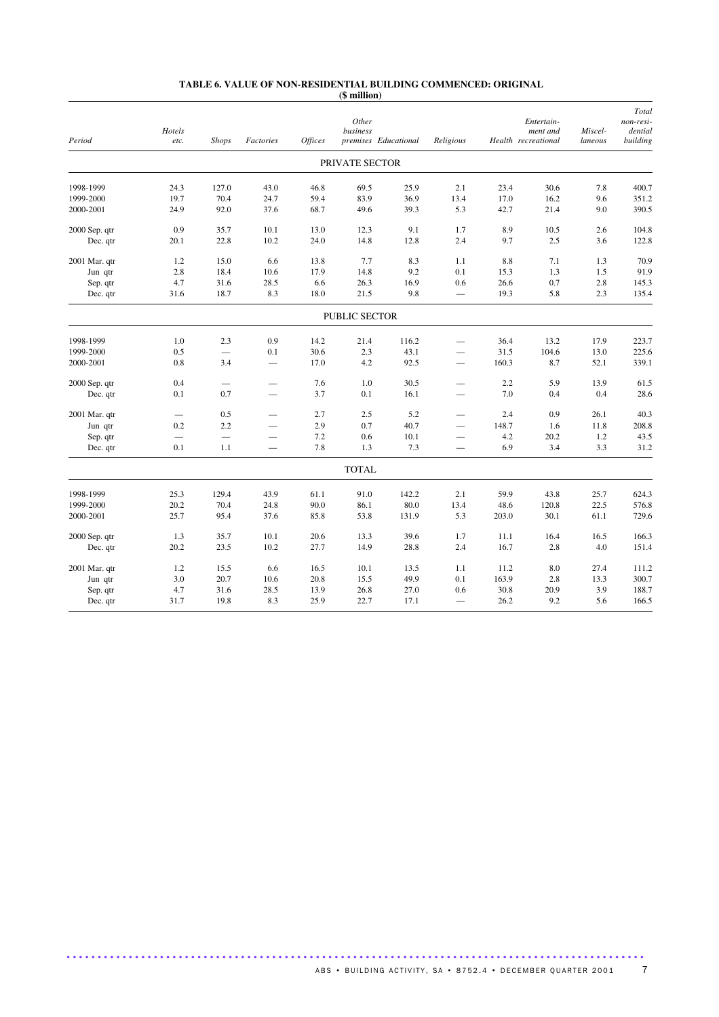#### **TABLE 6. VALUE OF NON-RESIDENTIAL BUILDING COMMENCED: ORIGINAL (\$ million)**

| Period        | Hotels<br>etc. | <b>Shops</b> | Factories                | <i><b>Offices</b></i> | Other<br>business | premises Educational | Religious                |       | Entertain-<br>ment and<br>Health recreational | Miscel-<br>laneous | Total<br>non-resi-<br>dential<br>building |
|---------------|----------------|--------------|--------------------------|-----------------------|-------------------|----------------------|--------------------------|-------|-----------------------------------------------|--------------------|-------------------------------------------|
|               |                |              |                          |                       | PRIVATE SECTOR    |                      |                          |       |                                               |                    |                                           |
| 1998-1999     | 24.3           | 127.0        | 43.0                     | 46.8                  | 69.5              | 25.9                 | 2.1                      | 23.4  | 30.6                                          | 7.8                | 400.7                                     |
| 1999-2000     | 19.7           | 70.4         | 24.7                     | 59.4                  | 83.9              | 36.9                 | 13.4                     | 17.0  | 16.2                                          | 9.6                | 351.2                                     |
| 2000-2001     | 24.9           | 92.0         | 37.6                     | 68.7                  | 49.6              | 39.3                 | 5.3                      | 42.7  | 21.4                                          | 9.0                | 390.5                                     |
| 2000 Sep. qtr | 0.9            | 35.7         | 10.1                     | 13.0                  | 12.3              | 9.1                  | 1.7                      | 8.9   | 10.5                                          | 2.6                | 104.8                                     |
| Dec. qtr      | 20.1           | 22.8         | 10.2                     | 24.0                  | 14.8              | 12.8                 | 2.4                      | 9.7   | 2.5                                           | 3.6                | 122.8                                     |
| 2001 Mar. qtr | 1.2            | 15.0         | 6.6                      | 13.8                  | 7.7               | 8.3                  | 1.1                      | 8.8   | 7.1                                           | 1.3                | 70.9                                      |
| Jun qtr       | 2.8            | 18.4         | 10.6                     | 17.9                  | 14.8              | 9.2                  | 0.1                      | 15.3  | 1.3                                           | 1.5                | 91.9                                      |
| Sep. qtr      | 4.7            | 31.6         | 28.5                     | 6.6                   | 26.3              | 16.9                 | 0.6                      | 26.6  | 0.7                                           | 2.8                | 145.3                                     |
| Dec. qtr      | 31.6           | 18.7         | 8.3                      | 18.0                  | 21.5              | 9.8                  | $\overline{\phantom{0}}$ | 19.3  | 5.8                                           | 2.3                | 135.4                                     |
|               |                |              |                          |                       | PUBLIC SECTOR     |                      |                          |       |                                               |                    |                                           |
| 1998-1999     | 1.0            | 2.3          | 0.9                      | 14.2                  | 21.4              | 116.2                | $\overline{\phantom{0}}$ | 36.4  | 13.2                                          | 17.9               | 223.7                                     |
| 1999-2000     | 0.5            |              | 0.1                      | 30.6                  | 2.3               | 43.1                 | $\overline{\phantom{0}}$ | 31.5  | 104.6                                         | 13.0               | 225.6                                     |
| 2000-2001     | 0.8            | 3.4          | $\overline{\phantom{0}}$ | 17.0                  | 4.2               | 92.5                 | $\overline{\phantom{0}}$ | 160.3 | 8.7                                           | 52.1               | 339.1                                     |
| 2000 Sep. qtr | 0.4            |              |                          | 7.6                   | 1.0               | 30.5                 |                          | 2.2   | 5.9                                           | 13.9               | 61.5                                      |
| Dec. qtr      | 0.1            | 0.7          |                          | 3.7                   | 0.1               | 16.1                 | $\overline{\phantom{0}}$ | 7.0   | 0.4                                           | 0.4                | 28.6                                      |
| 2001 Mar. qtr |                | 0.5          | $\overline{\phantom{0}}$ | 2.7                   | 2.5               | 5.2                  | $\overline{\phantom{0}}$ | 2.4   | 0.9                                           | 26.1               | 40.3                                      |
| Jun qtr       | 0.2            | 2.2          |                          | 2.9                   | 0.7               | 40.7                 | $\overline{\phantom{0}}$ | 148.7 | 1.6                                           | 11.8               | 208.8                                     |
| Sep. qtr      |                |              | $\overline{\phantom{0}}$ | 7.2                   | 0.6               | 10.1                 | $\overline{\phantom{0}}$ | 4.2   | 20.2                                          | 1.2                | 43.5                                      |
| Dec. qtr      | 0.1            | 1.1          |                          | 7.8                   | 1.3               | 7.3                  | $\overline{\phantom{0}}$ | 6.9   | 3.4                                           | 3.3                | 31.2                                      |
|               |                |              |                          |                       | <b>TOTAL</b>      |                      |                          |       |                                               |                    |                                           |
| 1998-1999     | 25.3           | 129.4        | 43.9                     | 61.1                  | 91.0              | 142.2                | 2.1                      | 59.9  | 43.8                                          | 25.7               | 624.3                                     |
| 1999-2000     | 20.2           | 70.4         | 24.8                     | 90.0                  | 86.1              | 80.0                 | 13.4                     | 48.6  | 120.8                                         | 22.5               | 576.8                                     |
| 2000-2001     | 25.7           | 95.4         | 37.6                     | 85.8                  | 53.8              | 131.9                | 5.3                      | 203.0 | 30.1                                          | 61.1               | 729.6                                     |
| 2000 Sep. qtr | 1.3            | 35.7         | 10.1                     | 20.6                  | 13.3              | 39.6                 | 1.7                      | 11.1  | 16.4                                          | 16.5               | 166.3                                     |
| Dec. qtr      | 20.2           | 23.5         | 10.2                     | 27.7                  | 14.9              | 28.8                 | 2.4                      | 16.7  | 2.8                                           | 4.0                | 151.4                                     |
| 2001 Mar. qtr | 1.2            | 15.5         | 6.6                      | 16.5                  | 10.1              | 13.5                 | 1.1                      | 11.2  | 8.0                                           | 27.4               | 111.2                                     |
| Jun qtr       | 3.0            | 20.7         | 10.6                     | 20.8                  | 15.5              | 49.9                 | 0.1                      | 163.9 | 2.8                                           | 13.3               | 300.7                                     |
| Sep. qtr      | 4.7            | 31.6         | 28.5                     | 13.9                  | 26.8              | 27.0                 | 0.6                      | 30.8  | 20.9                                          | 3.9                | 188.7                                     |
| Dec. qtr      | 31.7           | 19.8         | 8.3                      | 25.9                  | 22.7              | 17.1                 |                          | 26.2  | 9.2                                           | 5.6                | 166.5                                     |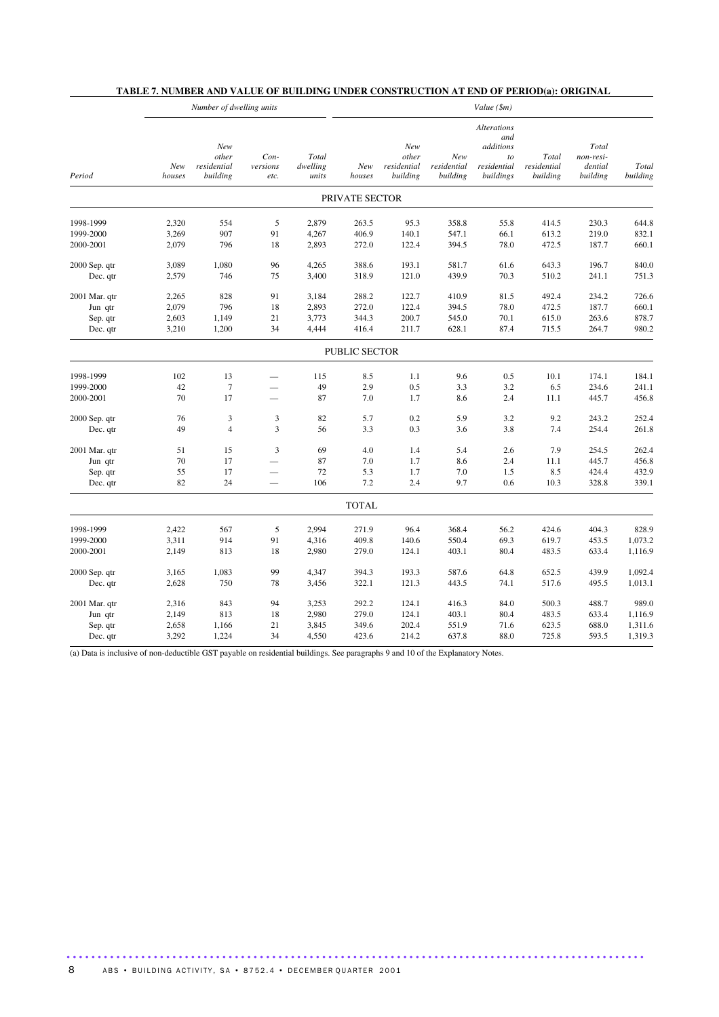|               |               | Number of dwelling units                |                            |                            | Value (\$m)    |                                         |                                |                                                                          |                                  |                                           |                   |
|---------------|---------------|-----------------------------------------|----------------------------|----------------------------|----------------|-----------------------------------------|--------------------------------|--------------------------------------------------------------------------|----------------------------------|-------------------------------------------|-------------------|
| Period        | New<br>houses | New<br>other<br>residential<br>building | $Con-$<br>versions<br>etc. | Total<br>dwelling<br>units | New<br>houses  | New<br>other<br>residential<br>building | New<br>residential<br>building | <b>Alterations</b><br>and<br>additions<br>to<br>residential<br>buildings | Total<br>residential<br>building | Total<br>non-resi-<br>dential<br>building | Total<br>building |
|               |               |                                         |                            |                            | PRIVATE SECTOR |                                         |                                |                                                                          |                                  |                                           |                   |
| 1998-1999     | 2,320         | 554                                     | 5                          | 2,879                      | 263.5          | 95.3                                    | 358.8                          | 55.8                                                                     | 414.5                            | 230.3                                     | 644.8             |
| 1999-2000     | 3,269         | 907                                     | 91                         | 4,267                      | 406.9          | 140.1                                   | 547.1                          | 66.1                                                                     | 613.2                            | 219.0                                     | 832.1             |
| 2000-2001     | 2,079         | 796                                     | 18                         | 2,893                      | 272.0          | 122.4                                   | 394.5                          | 78.0                                                                     | 472.5                            | 187.7                                     | 660.1             |
| 2000 Sep. qtr | 3,089         | 1,080                                   | 96                         | 4,265                      | 388.6          | 193.1                                   | 581.7                          | 61.6                                                                     | 643.3                            | 196.7                                     | 840.0             |
| Dec. qtr      | 2,579         | 746                                     | 75                         | 3,400                      | 318.9          | 121.0                                   | 439.9                          | 70.3                                                                     | 510.2                            | 241.1                                     | 751.3             |
| 2001 Mar. qtr | 2,265         | 828                                     | 91                         | 3,184                      | 288.2          | 122.7                                   | 410.9                          | 81.5                                                                     | 492.4                            | 234.2                                     | 726.6             |
| Jun qtr       | 2,079         | 796                                     | 18                         | 2,893                      | 272.0          | 122.4                                   | 394.5                          | 78.0                                                                     | 472.5                            | 187.7                                     | 660.1             |
| Sep. qtr      | 2,603         | 1,149                                   | 21                         | 3,773                      | 344.3          | 200.7                                   | 545.0                          | 70.1                                                                     | 615.0                            | 263.6                                     | 878.7             |
| Dec. qtr      | 3,210         | 1,200                                   | 34                         | 4,444                      | 416.4          | 211.7                                   | 628.1                          | 87.4                                                                     | 715.5                            | 264.7                                     | 980.2             |
|               |               |                                         |                            |                            | PUBLIC SECTOR  |                                         |                                |                                                                          |                                  |                                           |                   |
| 1998-1999     | 102           | 13                                      | $\overline{\phantom{0}}$   | 115                        | 8.5            | 1.1                                     | 9.6                            | 0.5                                                                      | 10.1                             | 174.1                                     | 184.1             |
| 1999-2000     | 42            | $\tau$                                  |                            | 49                         | 2.9            | 0.5                                     | 3.3                            | 3.2                                                                      | 6.5                              | 234.6                                     | 241.1             |
| 2000-2001     | 70            | 17                                      | $\overline{\phantom{0}}$   | 87                         | 7.0            | 1.7                                     | 8.6                            | 2.4                                                                      | 11.1                             | 445.7                                     | 456.8             |
| 2000 Sep. qtr | 76            | $\mathfrak{Z}$                          | $\mathfrak{Z}$             | 82                         | 5.7            | 0.2                                     | 5.9                            | 3.2                                                                      | 9.2                              | 243.2                                     | 252.4             |
| Dec. qtr      | 49            | $\overline{4}$                          | 3                          | 56                         | 3.3            | 0.3                                     | 3.6                            | 3.8                                                                      | 7.4                              | 254.4                                     | 261.8             |
| 2001 Mar. qtr | 51            | 15                                      | 3                          | 69                         | 4.0            | 1.4                                     | 5.4                            | 2.6                                                                      | 7.9                              | 254.5                                     | 262.4             |
| Jun qtr       | 70            | 17                                      | $\overline{\phantom{0}}$   | 87                         | 7.0            | 1.7                                     | 8.6                            | 2.4                                                                      | 11.1                             | 445.7                                     | 456.8             |
| Sep. qtr      | 55            | 17                                      |                            | 72                         | 5.3            | 1.7                                     | 7.0                            | 1.5                                                                      | 8.5                              | 424.4                                     | 432.9             |
| Dec. qtr      | 82            | 24                                      | $\overline{\phantom{0}}$   | 106                        | 7.2            | 2.4                                     | 9.7                            | 0.6                                                                      | 10.3                             | 328.8                                     | 339.1             |
|               |               |                                         |                            |                            | <b>TOTAL</b>   |                                         |                                |                                                                          |                                  |                                           |                   |
| 1998-1999     | 2,422         | 567                                     | 5                          | 2,994                      | 271.9          | 96.4                                    | 368.4                          | 56.2                                                                     | 424.6                            | 404.3                                     | 828.9             |
| 1999-2000     | 3,311         | 914                                     | 91                         | 4,316                      | 409.8          | 140.6                                   | 550.4                          | 69.3                                                                     | 619.7                            | 453.5                                     | 1,073.2           |
| 2000-2001     | 2,149         | 813                                     | 18                         | 2,980                      | 279.0          | 124.1                                   | 403.1                          | 80.4                                                                     | 483.5                            | 633.4                                     | 1,116.9           |
| 2000 Sep. qtr | 3,165         | 1,083                                   | 99                         | 4,347                      | 394.3          | 193.3                                   | 587.6                          | 64.8                                                                     | 652.5                            | 439.9                                     | 1,092.4           |
| Dec. qtr      | 2,628         | 750                                     | 78                         | 3,456                      | 322.1          | 121.3                                   | 443.5                          | 74.1                                                                     | 517.6                            | 495.5                                     | 1,013.1           |
| 2001 Mar. qtr | 2,316         | 843                                     | 94                         | 3,253                      | 292.2          | 124.1                                   | 416.3                          | 84.0                                                                     | 500.3                            | 488.7                                     | 989.0             |
| Jun qtr       | 2,149         | 813                                     | 18                         | 2,980                      | 279.0          | 124.1                                   | 403.1                          | 80.4                                                                     | 483.5                            | 633.4                                     | 1,116.9           |
| Sep. qtr      | 2,658         | 1,166                                   | 21                         | 3,845                      | 349.6          | 202.4                                   | 551.9                          | 71.6                                                                     | 623.5                            | 688.0                                     | 1,311.6           |
| Dec. qtr      | 3,292         | 1,224                                   | 34                         | 4,550                      | 423.6          | 214.2                                   | 637.8                          | 88.0                                                                     | 725.8                            | 593.5                                     | 1,319.3           |

## **TABLE 7. NUMBER AND VALUE OF BUILDING UNDER CONSTRUCTION AT END OF PERIOD(a): ORIGINAL**

(a) Data is inclusive of non-deductible GST payable on residential buildings. See paragraphs 9 and 10 of the Explanatory Notes.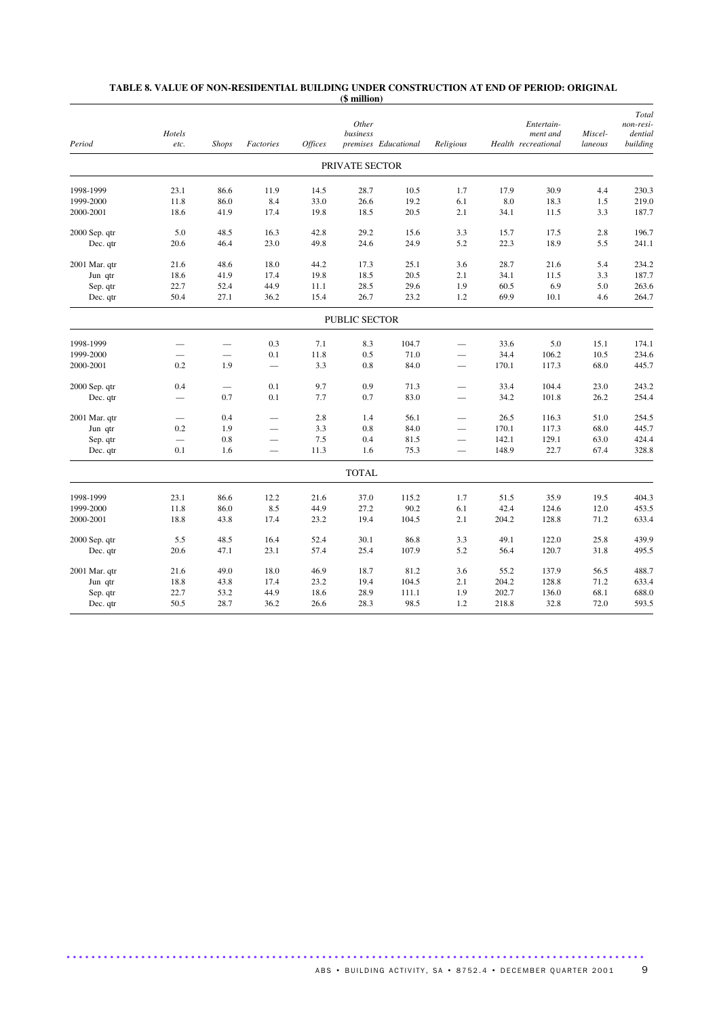| Period        | Hotels<br>etc.           | <b>Shops</b>                    | Factories                | <b>Offices</b> | Other<br>business    | premises Educational | Religious                |       | Entertain-<br>ment and<br>Health recreational | Miscel-<br>laneous | Total<br>non-resi-<br>dential<br>building |
|---------------|--------------------------|---------------------------------|--------------------------|----------------|----------------------|----------------------|--------------------------|-------|-----------------------------------------------|--------------------|-------------------------------------------|
|               |                          |                                 |                          |                | PRIVATE SECTOR       |                      |                          |       |                                               |                    |                                           |
| 1998-1999     | 23.1                     | 86.6                            | 11.9                     | 14.5           | 28.7                 | 10.5                 | 1.7                      | 17.9  | 30.9                                          | 4.4                | 230.3                                     |
| 1999-2000     | 11.8                     | 86.0                            | 8.4                      | 33.0           | 26.6                 | 19.2                 | 6.1                      | 8.0   | 18.3                                          | 1.5                | 219.0                                     |
| 2000-2001     | 18.6                     | 41.9                            | 17.4                     | 19.8           | 18.5                 | 20.5                 | 2.1                      | 34.1  | 11.5                                          | 3.3                | 187.7                                     |
| 2000 Sep. qtr | 5.0                      | 48.5                            | 16.3                     | 42.8           | 29.2                 | 15.6                 | 3.3                      | 15.7  | 17.5                                          | 2.8                | 196.7                                     |
| Dec. qtr      | 20.6                     | 46.4                            | 23.0                     | 49.8           | 24.6                 | 24.9                 | 5.2                      | 22.3  | 18.9                                          | 5.5                | 241.1                                     |
| 2001 Mar. qtr | 21.6                     | 48.6                            | 18.0                     | 44.2           | 17.3                 | 25.1                 | 3.6                      | 28.7  | 21.6                                          | 5.4                | 234.2                                     |
| Jun qtr       | 18.6                     | 41.9                            | 17.4                     | 19.8           | 18.5                 | 20.5                 | 2.1                      | 34.1  | 11.5                                          | 3.3                | 187.7                                     |
| Sep. qtr      | 22.7                     | 52.4                            | 44.9                     | 11.1           | 28.5                 | 29.6                 | 1.9                      | 60.5  | 6.9                                           | 5.0                | 263.6                                     |
| Dec. qtr      | 50.4                     | 27.1                            | 36.2                     | 15.4           | 26.7                 | 23.2                 | 1.2                      | 69.9  | 10.1                                          | 4.6                | 264.7                                     |
|               |                          |                                 |                          |                | <b>PUBLIC SECTOR</b> |                      |                          |       |                                               |                    |                                           |
| 1998-1999     |                          |                                 | 0.3                      | 7.1            | 8.3                  | 104.7                |                          | 33.6  | 5.0                                           | 15.1               | 174.1                                     |
| 1999-2000     |                          |                                 | 0.1                      | 11.8           | 0.5                  | 71.0                 | ÷,                       | 34.4  | 106.2                                         | 10.5               | 234.6                                     |
| 2000-2001     | 0.2                      | 1.9                             | $\qquad \qquad -$        | 3.3            | 0.8                  | 84.0                 | $\overline{\phantom{0}}$ | 170.1 | 117.3                                         | 68.0               | 445.7                                     |
| 2000 Sep. qtr | 0.4                      | $\overbrace{\qquad \qquad }^{}$ | 0.1                      | 9.7            | 0.9                  | 71.3                 |                          | 33.4  | 104.4                                         | 23.0               | 243.2                                     |
| Dec. qtr      |                          | 0.7                             | 0.1                      | 7.7            | 0.7                  | 83.0                 |                          | 34.2  | 101.8                                         | 26.2               | 254.4                                     |
| 2001 Mar. qtr |                          | 0.4                             | $\overline{\phantom{0}}$ | 2.8            | 1.4                  | 56.1                 | $\overline{\phantom{0}}$ | 26.5  | 116.3                                         | 51.0               | 254.5                                     |
| Jun qtr       | 0.2                      | 1.9                             |                          | 3.3            | 0.8                  | 84.0                 |                          | 170.1 | 117.3                                         | 68.0               | 445.7                                     |
| Sep. qtr      | $\overline{\phantom{0}}$ | 0.8                             |                          | 7.5            | 0.4                  | 81.5                 | $\overline{\phantom{0}}$ | 142.1 | 129.1                                         | 63.0               | 424.4                                     |
| Dec. qtr      | 0.1                      | 1.6                             | $\overline{\phantom{0}}$ | 11.3           | 1.6                  | 75.3                 |                          | 148.9 | 22.7                                          | 67.4               | 328.8                                     |
|               |                          |                                 |                          |                | <b>TOTAL</b>         |                      |                          |       |                                               |                    |                                           |
| 1998-1999     | 23.1                     | 86.6                            | 12.2                     | 21.6           | 37.0                 | 115.2                | 1.7                      | 51.5  | 35.9                                          | 19.5               | 404.3                                     |
| 1999-2000     | 11.8                     | 86.0                            | 8.5                      | 44.9           | 27.2                 | 90.2                 | 6.1                      | 42.4  | 124.6                                         | 12.0               | 453.5                                     |
| 2000-2001     | 18.8                     | 43.8                            | 17.4                     | 23.2           | 19.4                 | 104.5                | 2.1                      | 204.2 | 128.8                                         | 71.2               | 633.4                                     |
| 2000 Sep. qtr | 5.5                      | 48.5                            | 16.4                     | 52.4           | 30.1                 | 86.8                 | 3.3                      | 49.1  | 122.0                                         | 25.8               | 439.9                                     |
| Dec. qtr      | 20.6                     | 47.1                            | 23.1                     | 57.4           | 25.4                 | 107.9                | 5.2                      | 56.4  | 120.7                                         | 31.8               | 495.5                                     |
| 2001 Mar. qtr | 21.6                     | 49.0                            | 18.0                     | 46.9           | 18.7                 | 81.2                 | 3.6                      | 55.2  | 137.9                                         | 56.5               | 488.7                                     |
| Jun qtr       | 18.8                     | 43.8                            | 17.4                     | 23.2           | 19.4                 | 104.5                | 2.1                      | 204.2 | 128.8                                         | 71.2               | 633.4                                     |
| Sep. qtr      | 22.7                     | 53.2                            | 44.9                     | 18.6           | 28.9                 | 111.1                | 1.9                      | 202.7 | 136.0                                         | 68.1               | 688.0                                     |
| Dec. qtr      | 50.5                     | 28.7                            | 36.2                     | 26.6           | 28.3                 | 98.5                 | 1.2                      | 218.8 | 32.8                                          | 72.0               | 593.5                                     |

#### **TABLE 8. VALUE OF NON-RESIDENTIAL BUILDING UNDER CONSTRUCTION AT END OF PERIOD: ORIGINAL (\$ million)**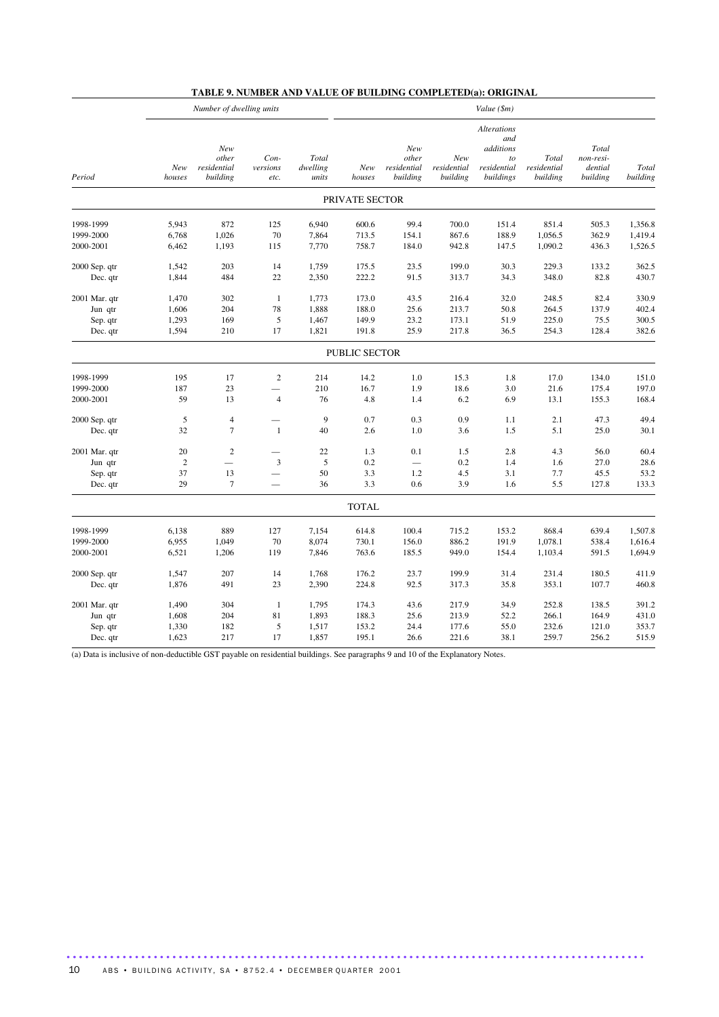|               | Number of dwelling units |                                         |                          |                            |                | Value (\$m)                             |                                |                                                                          |                                  |                                           |                   |  |
|---------------|--------------------------|-----------------------------------------|--------------------------|----------------------------|----------------|-----------------------------------------|--------------------------------|--------------------------------------------------------------------------|----------------------------------|-------------------------------------------|-------------------|--|
| Period        | New<br>houses            | New<br>other<br>residential<br>building | Con-<br>versions<br>etc. | Total<br>dwelling<br>units | New<br>houses  | New<br>other<br>residential<br>building | New<br>residential<br>building | <b>Alterations</b><br>and<br>additions<br>to<br>residential<br>buildings | Total<br>residential<br>building | Total<br>non-resi-<br>dential<br>building | Total<br>building |  |
|               |                          |                                         |                          |                            | PRIVATE SECTOR |                                         |                                |                                                                          |                                  |                                           |                   |  |
| 1998-1999     | 5,943                    | 872                                     | 125                      | 6,940                      | 600.6          | 99.4                                    | 700.0                          | 151.4                                                                    | 851.4                            | 505.3                                     | 1,356.8           |  |
| 1999-2000     | 6,768                    | 1,026                                   | 70                       | 7,864                      | 713.5          | 154.1                                   | 867.6                          | 188.9                                                                    | 1,056.5                          | 362.9                                     | 1,419.4           |  |
| 2000-2001     | 6,462                    | 1,193                                   | 115                      | 7,770                      | 758.7          | 184.0                                   | 942.8                          | 147.5                                                                    | 1,090.2                          | 436.3                                     | 1,526.5           |  |
| 2000 Sep. qtr | 1,542                    | 203                                     | 14                       | 1,759                      | 175.5          | 23.5                                    | 199.0                          | 30.3                                                                     | 229.3                            | 133.2                                     | 362.5             |  |
| Dec. qtr      | 1,844                    | 484                                     | $22\,$                   | 2,350                      | 222.2          | 91.5                                    | 313.7                          | 34.3                                                                     | 348.0                            | 82.8                                      | 430.7             |  |
| 2001 Mar. qtr | 1,470                    | 302                                     | $\mathbf{1}$             | 1,773                      | 173.0          | 43.5                                    | 216.4                          | 32.0                                                                     | 248.5                            | 82.4                                      | 330.9             |  |
| Jun qtr       | 1,606                    | 204                                     | 78                       | 1,888                      | 188.0          | 25.6                                    | 213.7                          | 50.8                                                                     | 264.5                            | 137.9                                     | 402.4             |  |
| Sep. qtr      | 1,293                    | 169                                     | $\sqrt{5}$               | 1,467                      | 149.9          | 23.2                                    | 173.1                          | 51.9                                                                     | 225.0                            | 75.5                                      | 300.5             |  |
| Dec. qtr      | 1,594                    | 210                                     | 17                       | 1,821                      | 191.8          | 25.9                                    | 217.8                          | 36.5                                                                     | 254.3                            | 128.4                                     | 382.6             |  |
|               |                          |                                         |                          |                            | PUBLIC SECTOR  |                                         |                                |                                                                          |                                  |                                           |                   |  |
| 1998-1999     | 195                      | 17                                      | $\sqrt{2}$               | 214                        | 14.2           | 1.0                                     | 15.3                           | 1.8                                                                      | 17.0                             | 134.0                                     | 151.0             |  |
| 1999-2000     | 187                      | 23                                      |                          | 210                        | 16.7           | 1.9                                     | 18.6                           | 3.0                                                                      | 21.6                             | 175.4                                     | 197.0             |  |
| 2000-2001     | 59                       | 13                                      | $\overline{4}$           | 76                         | 4.8            | 1.4                                     | 6.2                            | 6.9                                                                      | 13.1                             | 155.3                                     | 168.4             |  |
| 2000 Sep. qtr | 5                        | $\overline{4}$                          |                          | 9                          | 0.7            | 0.3                                     | 0.9                            | 1.1                                                                      | 2.1                              | 47.3                                      | 49.4              |  |
| Dec. qtr      | 32                       | $\tau$                                  | -1                       | 40                         | 2.6            | 1.0                                     | 3.6                            | 1.5                                                                      | 5.1                              | 25.0                                      | 30.1              |  |
| 2001 Mar. qtr | 20                       | $\sqrt{2}$                              |                          | $22\,$                     | 1.3            | 0.1                                     | 1.5                            | 2.8                                                                      | 4.3                              | 56.0                                      | 60.4              |  |
| Jun qtr       | $\sqrt{2}$               |                                         | $\mathfrak{Z}$           | $\sqrt{5}$                 | 0.2            | $\qquad \qquad -$                       | 0.2                            | 1.4                                                                      | 1.6                              | 27.0                                      | 28.6              |  |
| Sep. qtr      | 37                       | 13                                      |                          | 50                         | 3.3            | 1.2                                     | 4.5                            | 3.1                                                                      | 7.7                              | 45.5                                      | 53.2              |  |
| Dec. qtr      | 29                       | $\tau$                                  |                          | 36                         | 3.3            | 0.6                                     | 3.9                            | 1.6                                                                      | 5.5                              | 127.8                                     | 133.3             |  |
|               |                          |                                         |                          |                            | <b>TOTAL</b>   |                                         |                                |                                                                          |                                  |                                           |                   |  |
| 1998-1999     | 6,138                    | 889                                     | 127                      | 7,154                      | 614.8          | 100.4                                   | 715.2                          | 153.2                                                                    | 868.4                            | 639.4                                     | 1,507.8           |  |
| 1999-2000     | 6,955                    | 1,049                                   | 70                       | 8,074                      | 730.1          | 156.0                                   | 886.2                          | 191.9                                                                    | 1,078.1                          | 538.4                                     | 1,616.4           |  |
| 2000-2001     | 6,521                    | 1,206                                   | 119                      | 7,846                      | 763.6          | 185.5                                   | 949.0                          | 154.4                                                                    | 1,103.4                          | 591.5                                     | 1,694.9           |  |
| 2000 Sep. qtr | 1,547                    | 207                                     | 14                       | 1,768                      | 176.2          | 23.7                                    | 199.9                          | 31.4                                                                     | 231.4                            | 180.5                                     | 411.9             |  |
| Dec. qtr      | 1,876                    | 491                                     | 23                       | 2,390                      | 224.8          | 92.5                                    | 317.3                          | 35.8                                                                     | 353.1                            | 107.7                                     | 460.8             |  |
| 2001 Mar. qtr | 1,490                    | 304                                     | -1                       | 1,795                      | 174.3          | 43.6                                    | 217.9                          | 34.9                                                                     | 252.8                            | 138.5                                     | 391.2             |  |
| Jun qtr       | 1,608                    | 204                                     | 81                       | 1,893                      | 188.3          | 25.6                                    | 213.9                          | 52.2                                                                     | 266.1                            | 164.9                                     | 431.0             |  |
| Sep. qtr      | 1,330                    | 182                                     | 5                        | 1,517                      | 153.2          | 24.4                                    | 177.6                          | 55.0                                                                     | 232.6                            | 121.0                                     | 353.7             |  |
| Dec. qtr      | 1,623                    | 217                                     | 17                       | 1,857                      | 195.1          | 26.6                                    | 221.6                          | 38.1                                                                     | 259.7                            | 256.2                                     | 515.9             |  |

## **TABLE 9. NUMBER AND VALUE OF BUILDING COMPLETED(a): ORIGINAL**

(a) Data is inclusive of non-deductible GST payable on residential buildings. See paragraphs 9 and 10 of the Explanatory Notes.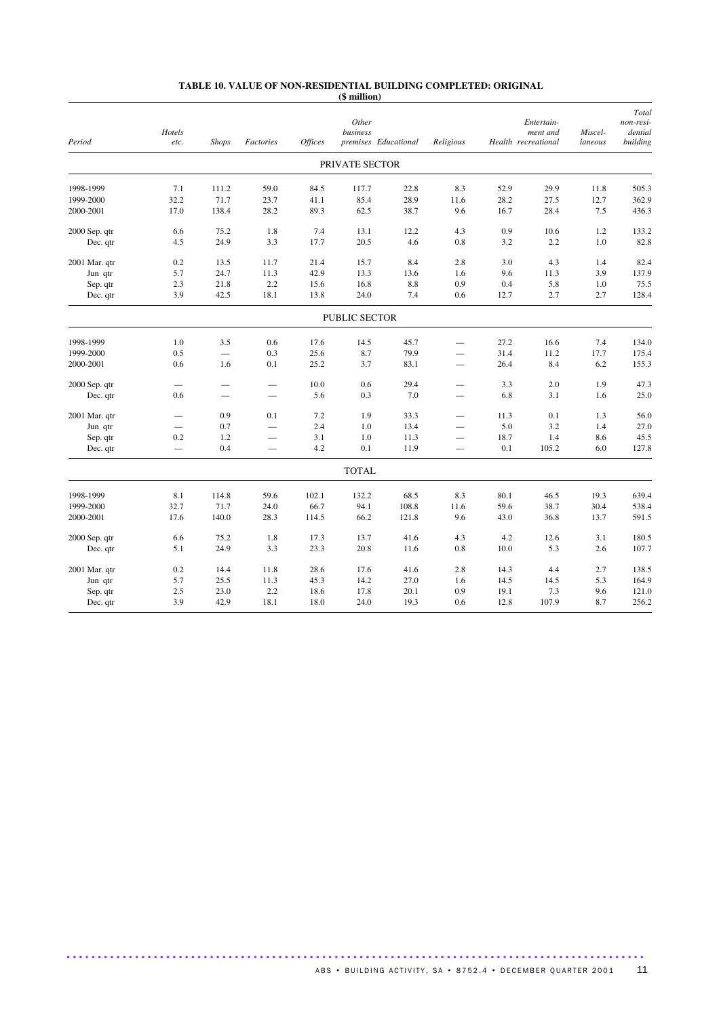#### **TABLE 10. VALUE OF NON-RESIDENTIAL BUILDING COMPLETED: ORIGINAL (\$ million)**

| PRIVATE SECTOR<br>1998-1999<br>7.1<br>111.2<br>59.0<br>84.5<br>117.7<br>22.8<br>8.3<br>52.9<br>29.9<br>11.8<br>505.3<br>32.2<br>28.9<br>28.2<br>362.9<br>1999-2000<br>71.7<br>23.7<br>41.1<br>85.4<br>11.6<br>27.5<br>12.7<br>17.0<br>138.4<br>28.2<br>89.3<br>62.5<br>38.7<br>9.6<br>16.7<br>28.4<br>7.5<br>436.3<br>2000-2001<br>0.9<br>6.6<br>75.2<br>1.8<br>7.4<br>13.1<br>12.2<br>4.3<br>10.6<br>1.2<br>133.2<br>2000 Sep. qtr<br>24.9<br>3.3<br>17.7<br>20.5<br>4.6<br>0.8<br>2.2<br>1.0<br>82.8<br>Dec. qtr<br>4.5<br>3.2<br>21.4<br>15.7<br>8.4<br>2.8<br>3.0<br>4.3<br>82.4<br>2001 Mar. qtr<br>0.2<br>13.5<br>11.7<br>1.4<br>24.7<br>11.3<br>42.9<br>13.3<br>9.6<br>3.9<br>137.9<br>5.7<br>13.6<br>1.6<br>11.3<br>Jun qtr<br>2.3<br>21.8<br>2.2<br>15.6<br>16.8<br>$8.8\,$<br>0.9<br>0.4<br>5.8<br>1.0<br>75.5<br>Sep. qtr<br>128.4<br>Dec. qtr<br>3.9<br>42.5<br>18.1<br>13.8<br>24.0<br>7.4<br>0.6<br>2.7<br>2.7<br>12.7<br>PUBLIC SECTOR<br>1998-1999<br>1.0<br>3.5<br>0.6<br>17.6<br>45.7<br>27.2<br>16.6<br>7.4<br>134.0<br>14.5<br>25.6<br>8.7<br>79.9<br>31.4<br>17.7<br>175.4<br>1999-2000<br>0.5<br>0.3<br>11.2<br>0.6<br>0.1<br>25.2<br>3.7<br>83.1<br>8.4<br>6.2<br>155.3<br>2000-2001<br>1.6<br>26.4<br>10.0<br>0.6<br>29.4<br>47.3<br>2000 Sep. qtr<br>3.3<br>2.0<br>1.9<br>5.6<br>0.3<br>7.0<br>6.8<br>3.1<br>25.0<br>Dec. qtr<br>0.6<br>1.6<br>0.9<br>7.2<br>1.9<br>33.3<br>0.1<br>56.0<br>2001 Mar. qtr<br>0.1<br>11.3<br>1.3<br>13.4<br>3.2<br>27.0<br>0.7<br>2.4<br>1.0<br>5.0<br>1.4<br>Jun qtr<br>$\overline{\phantom{0}}$<br>$\overline{\phantom{0}}$<br>$\qquad \qquad -$<br>45.5<br>1.2<br>3.1<br>$1.0\,$<br>11.3<br>18.7<br>1.4<br>8.6<br>Sep. qtr<br>0.2<br>$\overline{\phantom{0}}$<br>$\overline{\phantom{0}}$<br>0.1<br>127.8<br>0.4<br>4.2<br>11.9<br>0.1<br>105.2<br>6.0<br>Dec. qtr<br>$\equiv$<br>$\overline{\phantom{0}}$<br><b>TOTAL</b><br>1998-1999<br>19.3<br>639.4<br>8.1<br>114.8<br>59.6<br>102.1<br>132.2<br>68.5<br>8.3<br>80.1<br>46.5<br>32.7<br>71.7<br>66.7<br>94.1<br>59.6<br>38.7<br>30.4<br>538.4<br>1999-2000<br>24.0<br>108.8<br>11.6<br>17.6<br>140.0<br>28.3<br>114.5<br>66.2<br>121.8<br>9.6<br>43.0<br>36.8<br>591.5<br>2000-2001<br>13.7<br>2000 Sep. qtr<br>6.6<br>75.2<br>1.8<br>17.3<br>13.7<br>41.6<br>4.3<br>4.2<br>12.6<br>3.1<br>180.5<br>5.1<br>24.9<br>3.3<br>23.3<br>20.8<br>0.8<br>10.0<br>5.3<br>2.6<br>107.7<br>Dec. qtr<br>11.6<br>0.2<br>11.8<br>28.6<br>17.6<br>41.6<br>2.8<br>14.3<br>2.7<br>138.5<br>2001 Mar. qtr<br>14.4<br>4.4<br>164.9<br>5.3<br>5.7<br>25.5<br>11.3<br>45.3<br>14.2<br>27.0<br>14.5<br>14.5<br>Jun qtr<br>1.6<br>121.0<br>2.5<br>23.0<br>2.2<br>18.6<br>17.8<br>20.1<br>0.9<br>19.1<br>7.3<br>9.6<br>Sep. qtr | Period   | Hotels<br>etc. | <b>Shops</b> | Factories | <b>Offices</b> | Other<br>business | premises Educational | Religious |      | Entertain-<br>ment and<br>Health recreational | Miscel-<br>laneous | Total<br>non-resi-<br>dential<br>building |
|------------------------------------------------------------------------------------------------------------------------------------------------------------------------------------------------------------------------------------------------------------------------------------------------------------------------------------------------------------------------------------------------------------------------------------------------------------------------------------------------------------------------------------------------------------------------------------------------------------------------------------------------------------------------------------------------------------------------------------------------------------------------------------------------------------------------------------------------------------------------------------------------------------------------------------------------------------------------------------------------------------------------------------------------------------------------------------------------------------------------------------------------------------------------------------------------------------------------------------------------------------------------------------------------------------------------------------------------------------------------------------------------------------------------------------------------------------------------------------------------------------------------------------------------------------------------------------------------------------------------------------------------------------------------------------------------------------------------------------------------------------------------------------------------------------------------------------------------------------------------------------------------------------------------------------------------------------------------------------------------------------------------------------------------------------------------------------------------------------------------------------------------------------------------------------------------------------------------------------------------------------------------------------------------------------------------------------------------------------------------------------------------------------------------------------------------------------------------------------------------------------------------------------------------------------------------------------------------------------------------------------------------------------------------------------------------------------------------|----------|----------------|--------------|-----------|----------------|-------------------|----------------------|-----------|------|-----------------------------------------------|--------------------|-------------------------------------------|
|                                                                                                                                                                                                                                                                                                                                                                                                                                                                                                                                                                                                                                                                                                                                                                                                                                                                                                                                                                                                                                                                                                                                                                                                                                                                                                                                                                                                                                                                                                                                                                                                                                                                                                                                                                                                                                                                                                                                                                                                                                                                                                                                                                                                                                                                                                                                                                                                                                                                                                                                                                                                                                                                                                                        |          |                |              |           |                |                   |                      |           |      |                                               |                    |                                           |
|                                                                                                                                                                                                                                                                                                                                                                                                                                                                                                                                                                                                                                                                                                                                                                                                                                                                                                                                                                                                                                                                                                                                                                                                                                                                                                                                                                                                                                                                                                                                                                                                                                                                                                                                                                                                                                                                                                                                                                                                                                                                                                                                                                                                                                                                                                                                                                                                                                                                                                                                                                                                                                                                                                                        |          |                |              |           |                |                   |                      |           |      |                                               |                    |                                           |
|                                                                                                                                                                                                                                                                                                                                                                                                                                                                                                                                                                                                                                                                                                                                                                                                                                                                                                                                                                                                                                                                                                                                                                                                                                                                                                                                                                                                                                                                                                                                                                                                                                                                                                                                                                                                                                                                                                                                                                                                                                                                                                                                                                                                                                                                                                                                                                                                                                                                                                                                                                                                                                                                                                                        |          |                |              |           |                |                   |                      |           |      |                                               |                    |                                           |
|                                                                                                                                                                                                                                                                                                                                                                                                                                                                                                                                                                                                                                                                                                                                                                                                                                                                                                                                                                                                                                                                                                                                                                                                                                                                                                                                                                                                                                                                                                                                                                                                                                                                                                                                                                                                                                                                                                                                                                                                                                                                                                                                                                                                                                                                                                                                                                                                                                                                                                                                                                                                                                                                                                                        |          |                |              |           |                |                   |                      |           |      |                                               |                    |                                           |
|                                                                                                                                                                                                                                                                                                                                                                                                                                                                                                                                                                                                                                                                                                                                                                                                                                                                                                                                                                                                                                                                                                                                                                                                                                                                                                                                                                                                                                                                                                                                                                                                                                                                                                                                                                                                                                                                                                                                                                                                                                                                                                                                                                                                                                                                                                                                                                                                                                                                                                                                                                                                                                                                                                                        |          |                |              |           |                |                   |                      |           |      |                                               |                    |                                           |
|                                                                                                                                                                                                                                                                                                                                                                                                                                                                                                                                                                                                                                                                                                                                                                                                                                                                                                                                                                                                                                                                                                                                                                                                                                                                                                                                                                                                                                                                                                                                                                                                                                                                                                                                                                                                                                                                                                                                                                                                                                                                                                                                                                                                                                                                                                                                                                                                                                                                                                                                                                                                                                                                                                                        |          |                |              |           |                |                   |                      |           |      |                                               |                    |                                           |
|                                                                                                                                                                                                                                                                                                                                                                                                                                                                                                                                                                                                                                                                                                                                                                                                                                                                                                                                                                                                                                                                                                                                                                                                                                                                                                                                                                                                                                                                                                                                                                                                                                                                                                                                                                                                                                                                                                                                                                                                                                                                                                                                                                                                                                                                                                                                                                                                                                                                                                                                                                                                                                                                                                                        |          |                |              |           |                |                   |                      |           |      |                                               |                    |                                           |
|                                                                                                                                                                                                                                                                                                                                                                                                                                                                                                                                                                                                                                                                                                                                                                                                                                                                                                                                                                                                                                                                                                                                                                                                                                                                                                                                                                                                                                                                                                                                                                                                                                                                                                                                                                                                                                                                                                                                                                                                                                                                                                                                                                                                                                                                                                                                                                                                                                                                                                                                                                                                                                                                                                                        |          |                |              |           |                |                   |                      |           |      |                                               |                    |                                           |
|                                                                                                                                                                                                                                                                                                                                                                                                                                                                                                                                                                                                                                                                                                                                                                                                                                                                                                                                                                                                                                                                                                                                                                                                                                                                                                                                                                                                                                                                                                                                                                                                                                                                                                                                                                                                                                                                                                                                                                                                                                                                                                                                                                                                                                                                                                                                                                                                                                                                                                                                                                                                                                                                                                                        |          |                |              |           |                |                   |                      |           |      |                                               |                    |                                           |
|                                                                                                                                                                                                                                                                                                                                                                                                                                                                                                                                                                                                                                                                                                                                                                                                                                                                                                                                                                                                                                                                                                                                                                                                                                                                                                                                                                                                                                                                                                                                                                                                                                                                                                                                                                                                                                                                                                                                                                                                                                                                                                                                                                                                                                                                                                                                                                                                                                                                                                                                                                                                                                                                                                                        |          |                |              |           |                |                   |                      |           |      |                                               |                    |                                           |
|                                                                                                                                                                                                                                                                                                                                                                                                                                                                                                                                                                                                                                                                                                                                                                                                                                                                                                                                                                                                                                                                                                                                                                                                                                                                                                                                                                                                                                                                                                                                                                                                                                                                                                                                                                                                                                                                                                                                                                                                                                                                                                                                                                                                                                                                                                                                                                                                                                                                                                                                                                                                                                                                                                                        |          |                |              |           |                |                   |                      |           |      |                                               |                    |                                           |
|                                                                                                                                                                                                                                                                                                                                                                                                                                                                                                                                                                                                                                                                                                                                                                                                                                                                                                                                                                                                                                                                                                                                                                                                                                                                                                                                                                                                                                                                                                                                                                                                                                                                                                                                                                                                                                                                                                                                                                                                                                                                                                                                                                                                                                                                                                                                                                                                                                                                                                                                                                                                                                                                                                                        |          |                |              |           |                |                   |                      |           |      |                                               |                    |                                           |
|                                                                                                                                                                                                                                                                                                                                                                                                                                                                                                                                                                                                                                                                                                                                                                                                                                                                                                                                                                                                                                                                                                                                                                                                                                                                                                                                                                                                                                                                                                                                                                                                                                                                                                                                                                                                                                                                                                                                                                                                                                                                                                                                                                                                                                                                                                                                                                                                                                                                                                                                                                                                                                                                                                                        |          |                |              |           |                |                   |                      |           |      |                                               |                    |                                           |
|                                                                                                                                                                                                                                                                                                                                                                                                                                                                                                                                                                                                                                                                                                                                                                                                                                                                                                                                                                                                                                                                                                                                                                                                                                                                                                                                                                                                                                                                                                                                                                                                                                                                                                                                                                                                                                                                                                                                                                                                                                                                                                                                                                                                                                                                                                                                                                                                                                                                                                                                                                                                                                                                                                                        |          |                |              |           |                |                   |                      |           |      |                                               |                    |                                           |
|                                                                                                                                                                                                                                                                                                                                                                                                                                                                                                                                                                                                                                                                                                                                                                                                                                                                                                                                                                                                                                                                                                                                                                                                                                                                                                                                                                                                                                                                                                                                                                                                                                                                                                                                                                                                                                                                                                                                                                                                                                                                                                                                                                                                                                                                                                                                                                                                                                                                                                                                                                                                                                                                                                                        |          |                |              |           |                |                   |                      |           |      |                                               |                    |                                           |
|                                                                                                                                                                                                                                                                                                                                                                                                                                                                                                                                                                                                                                                                                                                                                                                                                                                                                                                                                                                                                                                                                                                                                                                                                                                                                                                                                                                                                                                                                                                                                                                                                                                                                                                                                                                                                                                                                                                                                                                                                                                                                                                                                                                                                                                                                                                                                                                                                                                                                                                                                                                                                                                                                                                        |          |                |              |           |                |                   |                      |           |      |                                               |                    |                                           |
|                                                                                                                                                                                                                                                                                                                                                                                                                                                                                                                                                                                                                                                                                                                                                                                                                                                                                                                                                                                                                                                                                                                                                                                                                                                                                                                                                                                                                                                                                                                                                                                                                                                                                                                                                                                                                                                                                                                                                                                                                                                                                                                                                                                                                                                                                                                                                                                                                                                                                                                                                                                                                                                                                                                        |          |                |              |           |                |                   |                      |           |      |                                               |                    |                                           |
|                                                                                                                                                                                                                                                                                                                                                                                                                                                                                                                                                                                                                                                                                                                                                                                                                                                                                                                                                                                                                                                                                                                                                                                                                                                                                                                                                                                                                                                                                                                                                                                                                                                                                                                                                                                                                                                                                                                                                                                                                                                                                                                                                                                                                                                                                                                                                                                                                                                                                                                                                                                                                                                                                                                        |          |                |              |           |                |                   |                      |           |      |                                               |                    |                                           |
|                                                                                                                                                                                                                                                                                                                                                                                                                                                                                                                                                                                                                                                                                                                                                                                                                                                                                                                                                                                                                                                                                                                                                                                                                                                                                                                                                                                                                                                                                                                                                                                                                                                                                                                                                                                                                                                                                                                                                                                                                                                                                                                                                                                                                                                                                                                                                                                                                                                                                                                                                                                                                                                                                                                        |          |                |              |           |                |                   |                      |           |      |                                               |                    |                                           |
|                                                                                                                                                                                                                                                                                                                                                                                                                                                                                                                                                                                                                                                                                                                                                                                                                                                                                                                                                                                                                                                                                                                                                                                                                                                                                                                                                                                                                                                                                                                                                                                                                                                                                                                                                                                                                                                                                                                                                                                                                                                                                                                                                                                                                                                                                                                                                                                                                                                                                                                                                                                                                                                                                                                        |          |                |              |           |                |                   |                      |           |      |                                               |                    |                                           |
|                                                                                                                                                                                                                                                                                                                                                                                                                                                                                                                                                                                                                                                                                                                                                                                                                                                                                                                                                                                                                                                                                                                                                                                                                                                                                                                                                                                                                                                                                                                                                                                                                                                                                                                                                                                                                                                                                                                                                                                                                                                                                                                                                                                                                                                                                                                                                                                                                                                                                                                                                                                                                                                                                                                        |          |                |              |           |                |                   |                      |           |      |                                               |                    |                                           |
|                                                                                                                                                                                                                                                                                                                                                                                                                                                                                                                                                                                                                                                                                                                                                                                                                                                                                                                                                                                                                                                                                                                                                                                                                                                                                                                                                                                                                                                                                                                                                                                                                                                                                                                                                                                                                                                                                                                                                                                                                                                                                                                                                                                                                                                                                                                                                                                                                                                                                                                                                                                                                                                                                                                        |          |                |              |           |                |                   |                      |           |      |                                               |                    |                                           |
|                                                                                                                                                                                                                                                                                                                                                                                                                                                                                                                                                                                                                                                                                                                                                                                                                                                                                                                                                                                                                                                                                                                                                                                                                                                                                                                                                                                                                                                                                                                                                                                                                                                                                                                                                                                                                                                                                                                                                                                                                                                                                                                                                                                                                                                                                                                                                                                                                                                                                                                                                                                                                                                                                                                        |          |                |              |           |                |                   |                      |           |      |                                               |                    |                                           |
|                                                                                                                                                                                                                                                                                                                                                                                                                                                                                                                                                                                                                                                                                                                                                                                                                                                                                                                                                                                                                                                                                                                                                                                                                                                                                                                                                                                                                                                                                                                                                                                                                                                                                                                                                                                                                                                                                                                                                                                                                                                                                                                                                                                                                                                                                                                                                                                                                                                                                                                                                                                                                                                                                                                        |          |                |              |           |                |                   |                      |           |      |                                               |                    |                                           |
|                                                                                                                                                                                                                                                                                                                                                                                                                                                                                                                                                                                                                                                                                                                                                                                                                                                                                                                                                                                                                                                                                                                                                                                                                                                                                                                                                                                                                                                                                                                                                                                                                                                                                                                                                                                                                                                                                                                                                                                                                                                                                                                                                                                                                                                                                                                                                                                                                                                                                                                                                                                                                                                                                                                        |          |                |              |           |                |                   |                      |           |      |                                               |                    |                                           |
|                                                                                                                                                                                                                                                                                                                                                                                                                                                                                                                                                                                                                                                                                                                                                                                                                                                                                                                                                                                                                                                                                                                                                                                                                                                                                                                                                                                                                                                                                                                                                                                                                                                                                                                                                                                                                                                                                                                                                                                                                                                                                                                                                                                                                                                                                                                                                                                                                                                                                                                                                                                                                                                                                                                        |          |                |              |           |                |                   |                      |           |      |                                               |                    |                                           |
|                                                                                                                                                                                                                                                                                                                                                                                                                                                                                                                                                                                                                                                                                                                                                                                                                                                                                                                                                                                                                                                                                                                                                                                                                                                                                                                                                                                                                                                                                                                                                                                                                                                                                                                                                                                                                                                                                                                                                                                                                                                                                                                                                                                                                                                                                                                                                                                                                                                                                                                                                                                                                                                                                                                        |          |                |              |           |                |                   |                      |           |      |                                               |                    |                                           |
|                                                                                                                                                                                                                                                                                                                                                                                                                                                                                                                                                                                                                                                                                                                                                                                                                                                                                                                                                                                                                                                                                                                                                                                                                                                                                                                                                                                                                                                                                                                                                                                                                                                                                                                                                                                                                                                                                                                                                                                                                                                                                                                                                                                                                                                                                                                                                                                                                                                                                                                                                                                                                                                                                                                        |          |                |              |           |                |                   |                      |           |      |                                               |                    |                                           |
|                                                                                                                                                                                                                                                                                                                                                                                                                                                                                                                                                                                                                                                                                                                                                                                                                                                                                                                                                                                                                                                                                                                                                                                                                                                                                                                                                                                                                                                                                                                                                                                                                                                                                                                                                                                                                                                                                                                                                                                                                                                                                                                                                                                                                                                                                                                                                                                                                                                                                                                                                                                                                                                                                                                        |          |                |              |           |                |                   |                      |           |      |                                               |                    |                                           |
|                                                                                                                                                                                                                                                                                                                                                                                                                                                                                                                                                                                                                                                                                                                                                                                                                                                                                                                                                                                                                                                                                                                                                                                                                                                                                                                                                                                                                                                                                                                                                                                                                                                                                                                                                                                                                                                                                                                                                                                                                                                                                                                                                                                                                                                                                                                                                                                                                                                                                                                                                                                                                                                                                                                        | Dec. qtr | 3.9            | 42.9         | 18.1      | 18.0           | 24.0              | 19.3                 | 0.6       | 12.8 | 107.9                                         | 8.7                | 256.2                                     |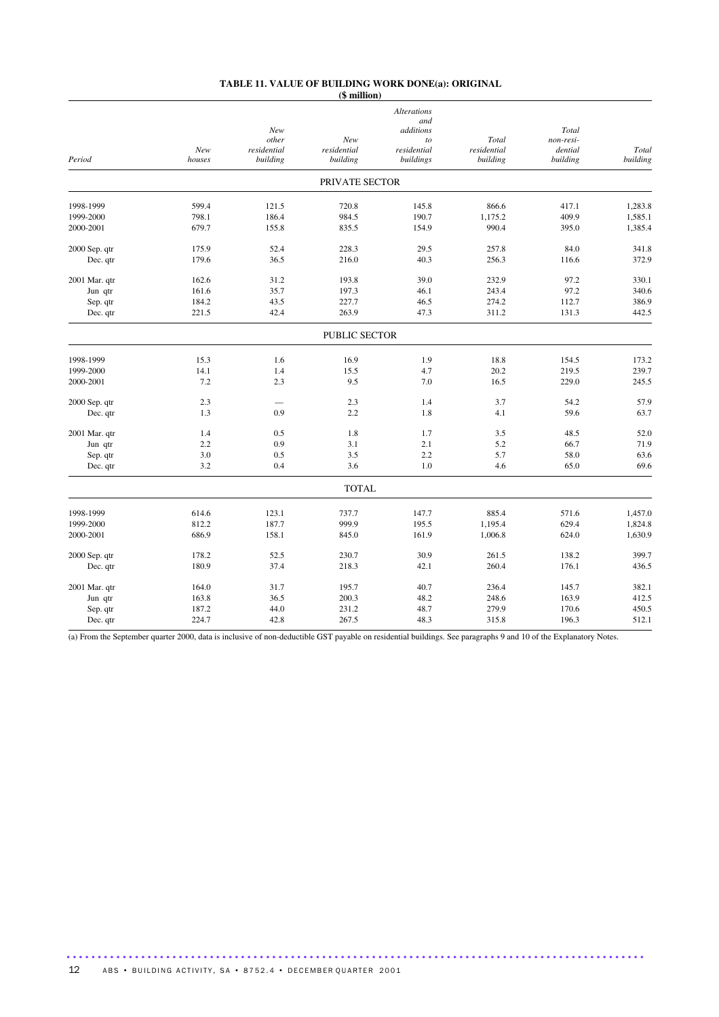#### **TABLE 11. VALUE OF BUILDING WORK DONE(a): ORIGINAL (\$ million)**

|               |        |             |                | <b>Alterations</b><br>and |             |           |          |
|---------------|--------|-------------|----------------|---------------------------|-------------|-----------|----------|
|               |        | New         |                | additions                 |             | Total     |          |
|               |        | other       | New            | to                        | Total       | non-resi- |          |
|               | New    | residential | residential    | $residental$              | residential | dential   | Total    |
| Period        | houses | building    | building       | buildings                 | building    | building  | building |
|               |        |             | PRIVATE SECTOR |                           |             |           |          |
| 1998-1999     | 599.4  | 121.5       | 720.8          | 145.8                     | 866.6       | 417.1     | 1,283.8  |
| 1999-2000     | 798.1  | 186.4       | 984.5          | 190.7                     | 1,175.2     | 409.9     | 1,585.1  |
| 2000-2001     | 679.7  | 155.8       | 835.5          | 154.9                     | 990.4       | 395.0     | 1,385.4  |
|               |        |             |                |                           |             |           |          |
| 2000 Sep. qtr | 175.9  | 52.4        | 228.3          | 29.5                      | 257.8       | 84.0      | 341.8    |
| Dec. qtr      | 179.6  | 36.5        | 216.0          | 40.3                      | 256.3       | 116.6     | 372.9    |
| 2001 Mar. qtr | 162.6  | 31.2        | 193.8          | 39.0                      | 232.9       | 97.2      | 330.1    |
| Jun qtr       | 161.6  | 35.7        | 197.3          | 46.1                      | 243.4       | 97.2      | 340.6    |
| Sep. qtr      | 184.2  | 43.5        | 227.7          | 46.5                      | 274.2       | 112.7     | 386.9    |
| Dec. qtr      | 221.5  | 42.4        | 263.9          | 47.3                      | 311.2       | 131.3     | 442.5    |
|               |        |             |                |                           |             |           |          |
|               |        |             | PUBLIC SECTOR  |                           |             |           |          |
| 1998-1999     | 15.3   | 1.6         | 16.9           | 1.9                       | 18.8        | 154.5     | 173.2    |
| 1999-2000     | 14.1   | 1.4         | 15.5           | 4.7                       | 20.2        | 219.5     | 239.7    |
| 2000-2001     | 7.2    | 2.3         | 9.5            | 7.0                       | 16.5        | 229.0     | 245.5    |
| 2000 Sep. qtr | 2.3    |             | 2.3            | 1.4                       | 3.7         | 54.2      | 57.9     |
| Dec. qtr      | 1.3    | 0.9         | 2.2            | 1.8                       | 4.1         | 59.6      | 63.7     |
|               |        |             |                |                           |             |           |          |
| 2001 Mar. qtr | 1.4    | 0.5         | 1.8            | 1.7                       | 3.5         | 48.5      | 52.0     |
| Jun qtr       | 2.2    | 0.9         | 3.1            | 2.1                       | 5.2         | 66.7      | 71.9     |
| Sep. qtr      | 3.0    | 0.5         | 3.5            | 2.2                       | 5.7         | 58.0      | 63.6     |
| Dec. qtr      | 3.2    | 0.4         | 3.6            | 1.0                       | 4.6         | 65.0      | 69.6     |
|               |        |             | <b>TOTAL</b>   |                           |             |           |          |
| 1998-1999     | 614.6  | 123.1       | 737.7          | 147.7                     | 885.4       | 571.6     | 1,457.0  |
| 1999-2000     | 812.2  | 187.7       | 999.9          | 195.5                     | 1,195.4     | 629.4     | 1,824.8  |
| 2000-2001     | 686.9  | 158.1       | 845.0          | 161.9                     | 1,006.8     | 624.0     | 1,630.9  |
|               |        |             |                |                           |             |           |          |
| 2000 Sep. qtr | 178.2  | 52.5        | 230.7          | 30.9                      | 261.5       | 138.2     | 399.7    |
| Dec. qtr      | 180.9  | 37.4        | 218.3          | 42.1                      | 260.4       | 176.1     | 436.5    |
| 2001 Mar. qtr | 164.0  | 31.7        | 195.7          | 40.7                      | 236.4       | 145.7     | 382.1    |
| Jun qtr       | 163.8  | 36.5        | 200.3          | 48.2                      | 248.6       | 163.9     | 412.5    |
| Sep. qtr      | 187.2  | 44.0        | 231.2          | 48.7                      | 279.9       | 170.6     | 450.5    |
| Dec. qtr      | 224.7  | 42.8        | 267.5          | 48.3                      | 315.8       | 196.3     | 512.1    |
|               |        |             |                |                           |             |           |          |

(a) From the September quarter 2000, data is inclusive of non-deductible GST payable on residential buildings. See paragraphs 9 and 10 of the Explanatory Notes.

.............................................................................................

12 ABS • BUILDING ACTIVITY, SA • 8752.4 • DECEMBER QUARTER 2001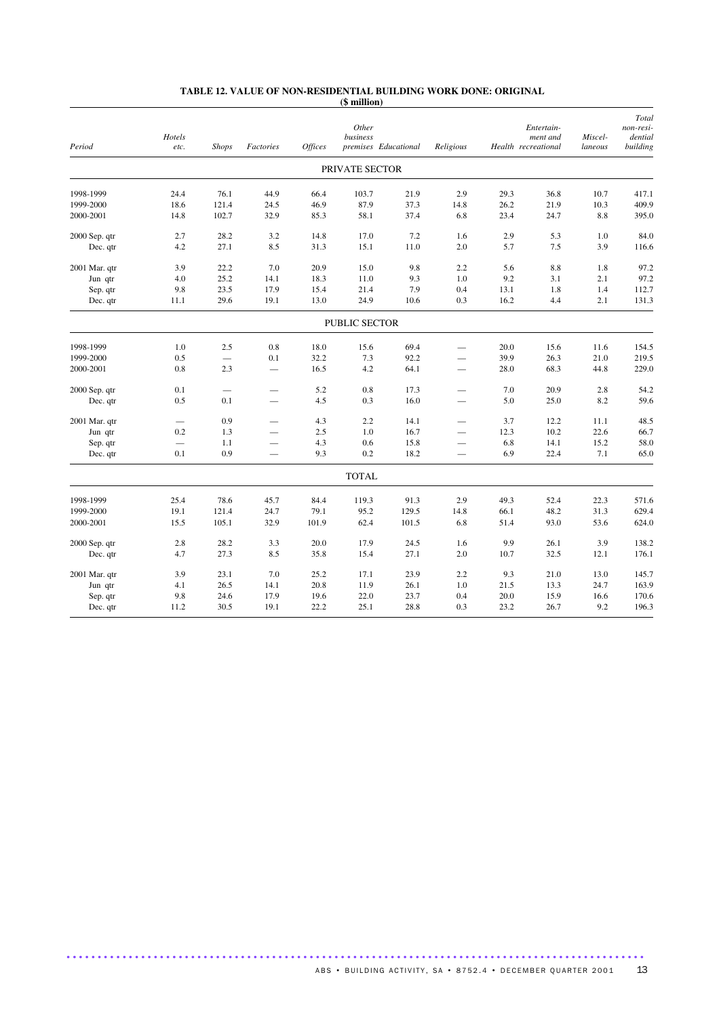|               | Hotels |              |                          |                | Other<br>business |                      |                          |      | Entertain-                      | Miscel- | Total<br>non-resi-<br>dential |
|---------------|--------|--------------|--------------------------|----------------|-------------------|----------------------|--------------------------|------|---------------------------------|---------|-------------------------------|
| Period        | etc.   | <b>Shops</b> | Factories                | <b>Offices</b> |                   | premises Educational | Religious                |      | ment and<br>Health recreational | laneous | building                      |
|               |        |              |                          |                | PRIVATE SECTOR    |                      |                          |      |                                 |         |                               |
| 1998-1999     | 24.4   | 76.1         | 44.9                     | 66.4           | 103.7             | 21.9                 | 2.9                      | 29.3 | 36.8                            | 10.7    | 417.1                         |
| 1999-2000     | 18.6   | 121.4        | 24.5                     | 46.9           | 87.9              | 37.3                 | 14.8                     | 26.2 | 21.9                            | 10.3    | 409.9                         |
| 2000-2001     | 14.8   | 102.7        | 32.9                     | 85.3           | 58.1              | 37.4                 | 6.8                      | 23.4 | 24.7                            | 8.8     | 395.0                         |
| 2000 Sep. qtr | 2.7    | 28.2         | 3.2                      | 14.8           | 17.0              | 7.2                  | 1.6                      | 2.9  | 5.3                             | 1.0     | 84.0                          |
| Dec. qtr      | 4.2    | 27.1         | 8.5                      | 31.3           | 15.1              | 11.0                 | 2.0                      | 5.7  | 7.5                             | 3.9     | 116.6                         |
| 2001 Mar. qtr | 3.9    | 22.2         | 7.0                      | 20.9           | 15.0              | 9.8                  | 2.2                      | 5.6  | 8.8                             | 1.8     | 97.2                          |
| Jun qtr       | 4.0    | 25.2         | 14.1                     | 18.3           | 11.0              | 9.3                  | $1.0\,$                  | 9.2  | 3.1                             | 2.1     | 97.2                          |
| Sep. qtr      | 9.8    | 23.5         | 17.9                     | 15.4           | 21.4              | 7.9                  | 0.4                      | 13.1 | 1.8                             | 1.4     | 112.7                         |
| Dec. qtr      | 11.1   | 29.6         | 19.1                     | 13.0           | 24.9              | 10.6                 | 0.3                      | 16.2 | 4.4                             | 2.1     | 131.3                         |
|               |        |              |                          |                | PUBLIC SECTOR     |                      |                          |      |                                 |         |                               |
| 1998-1999     | 1.0    | 2.5          | $0.8\,$                  | 18.0           | 15.6              | 69.4                 | ÷,                       | 20.0 | 15.6                            | 11.6    | 154.5                         |
| 1999-2000     | 0.5    |              | 0.1                      | 32.2           | 7.3               | 92.2                 |                          | 39.9 | 26.3                            | 21.0    | 219.5                         |
| 2000-2001     | 0.8    | 2.3          | $\overline{\phantom{0}}$ | 16.5           | 4.2               | 64.1                 | $\qquad \qquad -$        | 28.0 | 68.3                            | 44.8    | 229.0                         |
| 2000 Sep. qtr | 0.1    |              |                          | 5.2            | 0.8               | 17.3                 |                          | 7.0  | 20.9                            | 2.8     | 54.2                          |
| Dec. qtr      | 0.5    | 0.1          | $\overline{\phantom{0}}$ | 4.5            | 0.3               | 16.0                 | $\overline{\phantom{0}}$ | 5.0  | 25.0                            | 8.2     | 59.6                          |
| 2001 Mar. qtr |        | 0.9          | $\overline{\phantom{0}}$ | 4.3            | 2.2               | 14.1                 |                          | 3.7  | 12.2                            | 11.1    | 48.5                          |
| Jun qtr       | 0.2    | 1.3          | $\overline{\phantom{0}}$ | 2.5            | 1.0               | 16.7                 |                          | 12.3 | 10.2                            | 22.6    | 66.7                          |
| Sep. qtr      |        | 1.1          | $\overline{\phantom{0}}$ | 4.3            | 0.6               | 15.8                 |                          | 6.8  | 14.1                            | 15.2    | 58.0                          |
| Dec. qtr      | 0.1    | 0.9          |                          | 9.3            | 0.2               | 18.2                 |                          | 6.9  | 22.4                            | 7.1     | 65.0                          |
|               |        |              |                          |                | <b>TOTAL</b>      |                      |                          |      |                                 |         |                               |
| 1998-1999     | 25.4   | 78.6         | 45.7                     | 84.4           | 119.3             | 91.3                 | 2.9                      | 49.3 | 52.4                            | 22.3    | 571.6                         |
| 1999-2000     | 19.1   | 121.4        | 24.7                     | 79.1           | 95.2              | 129.5                | 14.8                     | 66.1 | 48.2                            | 31.3    | 629.4                         |
| 2000-2001     | 15.5   | 105.1        | 32.9                     | 101.9          | 62.4              | 101.5                | 6.8                      | 51.4 | 93.0                            | 53.6    | 624.0                         |
| 2000 Sep. qtr | 2.8    | 28.2         | 3.3                      | 20.0           | 17.9              | 24.5                 | 1.6                      | 9.9  | 26.1                            | 3.9     | 138.2                         |
| Dec. qtr      | 4.7    | 27.3         | 8.5                      | 35.8           | 15.4              | 27.1                 | 2.0                      | 10.7 | 32.5                            | 12.1    | 176.1                         |
| 2001 Mar. qtr | 3.9    | 23.1         | 7.0                      | 25.2           | 17.1              | 23.9                 | 2.2                      | 9.3  | 21.0                            | 13.0    | 145.7                         |
| Jun qtr       | 4.1    | 26.5         | 14.1                     | 20.8           | 11.9              | 26.1                 | 1.0                      | 21.5 | 13.3                            | 24.7    | 163.9                         |
| Sep. qtr      | 9.8    | 24.6         | 17.9                     | 19.6           | 22.0              | 23.7                 | 0.4                      | 20.0 | 15.9                            | 16.6    | 170.6                         |
| Dec. qtr      | 11.2   | 30.5         | 19.1                     | 22.2           | 25.1              | 28.8                 | 0.3                      | 23.2 | 26.7                            | 9.2     | 196.3                         |

## **TABLE 12. VALUE OF NON-RESIDENTIAL BUILDING WORK DONE: ORIGINAL (\$ million)**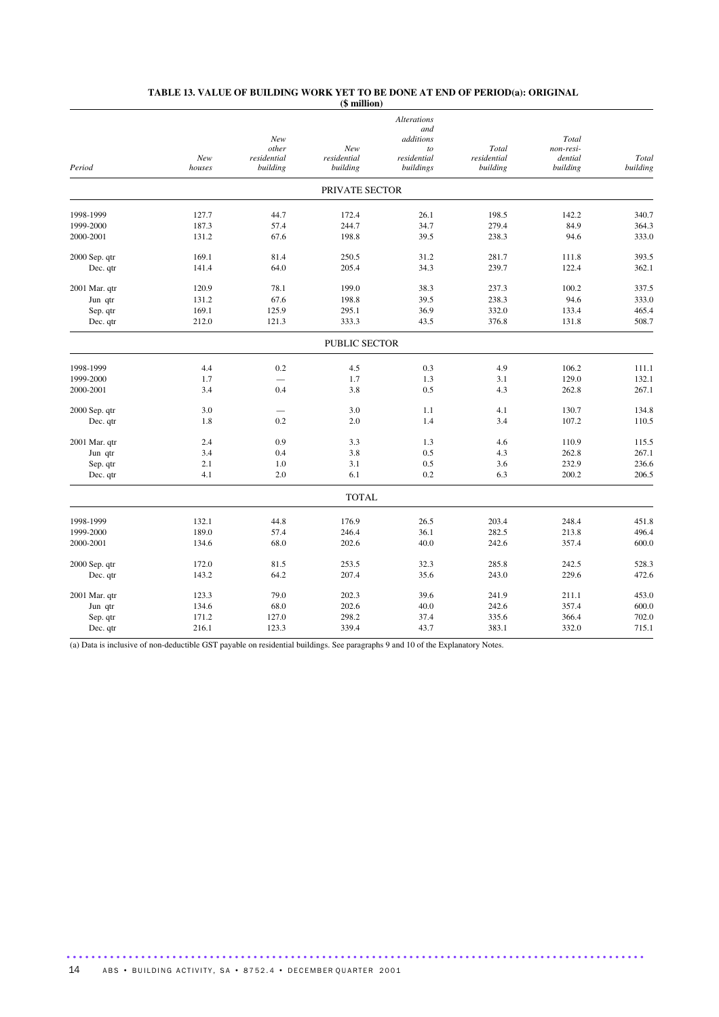|               |               |                         |                         | <b>Alterations</b><br>and |                         |                     |                   |
|---------------|---------------|-------------------------|-------------------------|---------------------------|-------------------------|---------------------|-------------------|
|               |               | New                     |                         | additions                 |                         | Total               |                   |
|               |               | other                   | New                     | to                        | Total                   | non-resi-           |                   |
| Period        | New<br>houses | residential<br>building | residential<br>building | residential<br>buildings  | residential<br>building | dential<br>building | Total<br>building |
|               |               |                         | PRIVATE SECTOR          |                           |                         |                     |                   |
| 1998-1999     | 127.7         | 44.7                    | 172.4                   | 26.1                      | 198.5                   | 142.2               | 340.7             |
| 1999-2000     | 187.3         | 57.4                    | 244.7                   | 34.7                      | 279.4                   | 84.9                | 364.3             |
| 2000-2001     | 131.2         | 67.6                    | 198.8                   | 39.5                      | 238.3                   | 94.6                | 333.0             |
| 2000 Sep. qtr | 169.1         | 81.4                    | 250.5                   | 31.2                      | 281.7                   | 111.8               | 393.5             |
| Dec. qtr      | 141.4         | 64.0                    | 205.4                   | 34.3                      | 239.7                   | 122.4               | 362.1             |
| 2001 Mar. qtr | 120.9         | 78.1                    | 199.0                   | 38.3                      | 237.3                   | 100.2               | 337.5             |
| Jun qtr       | 131.2         | 67.6                    | 198.8                   | 39.5                      | 238.3                   | 94.6                | 333.0             |
| Sep. qtr      | 169.1         | 125.9                   | 295.1                   | 36.9                      | 332.0                   | 133.4               | 465.4             |
| Dec. qtr      | 212.0         | 121.3                   | 333.3                   | 43.5                      | 376.8                   | 131.8               | 508.7             |
|               |               |                         | <b>PUBLIC SECTOR</b>    |                           |                         |                     |                   |
| 1998-1999     | 4.4           | 0.2                     | 4.5                     | 0.3                       | 4.9                     | 106.2               | 111.1             |
| 1999-2000     | 1.7           |                         | 1.7                     | 1.3                       | 3.1                     | 129.0               | 132.1             |
| 2000-2001     | 3.4           | 0.4                     | 3.8                     | 0.5                       | 4.3                     | 262.8               | 267.1             |
| 2000 Sep. qtr | 3.0           |                         | 3.0                     | 1.1                       | 4.1                     | 130.7               | 134.8             |
| Dec. qtr      | 1.8           | 0.2                     | 2.0                     | 1.4                       | 3.4                     | 107.2               | 110.5             |
| 2001 Mar. qtr | 2.4           | 0.9                     | 3.3                     | 1.3                       | 4.6                     | 110.9               | 115.5             |
| Jun qtr       | 3.4           | 0.4                     | 3.8                     | 0.5                       | 4.3                     | 262.8               | 267.1             |
| Sep. qtr      | 2.1           | 1.0                     | 3.1                     | 0.5                       | 3.6                     | 232.9               | 236.6             |
| Dec. qtr      | 4.1           | 2.0                     | 6.1                     | 0.2                       | 6.3                     | 200.2               | 206.5             |
|               |               |                         | <b>TOTAL</b>            |                           |                         |                     |                   |
| 1998-1999     | 132.1         | 44.8                    | 176.9                   | 26.5                      | 203.4                   | 248.4               | 451.8             |
| 1999-2000     | 189.0         | 57.4                    | 246.4                   | 36.1                      | 282.5                   | 213.8               | 496.4             |
| 2000-2001     | 134.6         | 68.0                    | 202.6                   | 40.0                      | 242.6                   | 357.4               | 600.0             |
| 2000 Sep. qtr | 172.0         | 81.5                    | 253.5                   | 32.3                      | 285.8                   | 242.5               | 528.3             |
| Dec. qtr      | 143.2         | 64.2                    | 207.4                   | 35.6                      | 243.0                   | 229.6               | 472.6             |
| 2001 Mar. qtr | 123.3         | 79.0                    | 202.3                   | 39.6                      | 241.9                   | 211.1               | 453.0             |
| Jun qtr       | 134.6         | 68.0                    | 202.6                   | 40.0                      | 242.6                   | 357.4               | 600.0             |
| Sep. qtr      | 171.2         | 127.0                   | 298.2                   | 37.4                      | 335.6                   | 366.4               | 702.0             |
| Dec. qtr      | 216.1         | 123.3                   | 339.4                   | 43.7                      | 383.1                   | 332.0               | 715.1             |

#### **TABLE 13. VALUE OF BUILDING WORK YET TO BE DONE AT END OF PERIOD(a): ORIGINAL (\$ million)**

(a) Data is inclusive of non-deductible GST payable on residential buildings. See paragraphs 9 and 10 of the Explanatory Notes.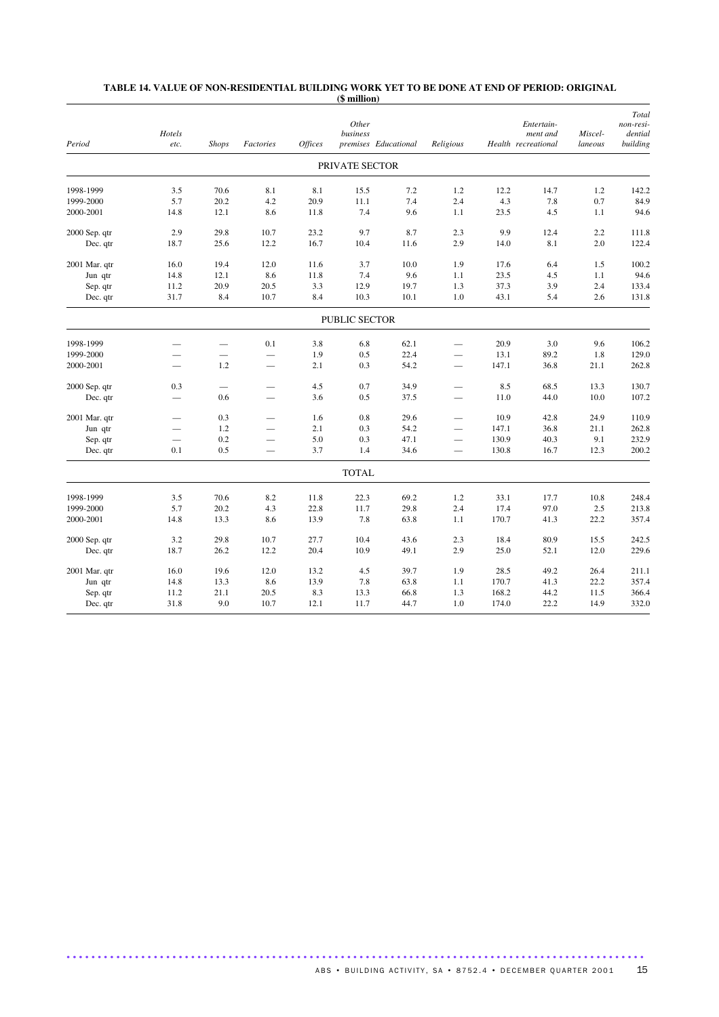| Period        | Hotels<br>etc.           | <b>Shops</b>  | Factories                | <b>Offices</b> | Other<br>business | premises Educational | Religious                        |       | Entertain-<br>ment and<br>Health recreational | Miscel-<br>laneous | Total<br>non-resi-<br>dential<br>building |
|---------------|--------------------------|---------------|--------------------------|----------------|-------------------|----------------------|----------------------------------|-------|-----------------------------------------------|--------------------|-------------------------------------------|
|               |                          |               |                          |                | PRIVATE SECTOR    |                      |                                  |       |                                               |                    |                                           |
| 1998-1999     | 3.5                      | 70.6          | 8.1                      | 8.1            | 15.5              | 7.2                  | 1.2                              | 12.2  | 14.7                                          | 1.2                | 142.2                                     |
| 1999-2000     | 5.7                      | 20.2          | 4.2                      | 20.9           | 11.1              | 7.4                  | 2.4                              | 4.3   | 7.8                                           | 0.7                | 84.9                                      |
| 2000-2001     | 14.8                     | 12.1          | 8.6                      | 11.8           | 7.4               | 9.6                  | 1.1                              | 23.5  | 4.5                                           | 1.1                | 94.6                                      |
| 2000 Sep. qtr | 2.9                      | 29.8          | 10.7                     | 23.2           | 9.7               | 8.7                  | 2.3                              | 9.9   | 12.4                                          | 2.2                | 111.8                                     |
| Dec. qtr      | 18.7                     | 25.6          | 12.2                     | 16.7           | 10.4              | 11.6                 | 2.9                              | 14.0  | 8.1                                           | 2.0                | 122.4                                     |
| 2001 Mar. qtr | 16.0                     | 19.4          | 12.0                     | 11.6           | 3.7               | 10.0                 | 1.9                              | 17.6  | 6.4                                           | 1.5                | 100.2                                     |
| Jun qtr       | 14.8                     | 12.1          | 8.6                      | 11.8           | 7.4               | 9.6                  | 1.1                              | 23.5  | 4.5                                           | 1.1                | 94.6                                      |
| Sep. qtr      | 11.2                     | 20.9          | 20.5                     | 3.3            | 12.9              | 19.7                 | 1.3                              | 37.3  | 3.9                                           | 2.4                | 133.4                                     |
| Dec. qtr      | 31.7                     | 8.4           | 10.7                     | 8.4            | 10.3              | 10.1                 | 1.0                              | 43.1  | 5.4                                           | 2.6                | 131.8                                     |
|               |                          |               |                          |                | PUBLIC SECTOR     |                      |                                  |       |                                               |                    |                                           |
| 1998-1999     |                          |               | 0.1                      | 3.8            | 6.8               | 62.1                 |                                  | 20.9  | 3.0                                           | 9.6                | 106.2                                     |
| 1999-2000     |                          | $\frac{1}{2}$ | $\overline{\phantom{0}}$ | 1.9            | 0.5               | 22.4                 | $\overline{\phantom{0}}$         | 13.1  | 89.2                                          | 1.8                | 129.0                                     |
| 2000-2001     | $\overline{\phantom{0}}$ | 1.2           | $\qquad \qquad -$        | 2.1            | 0.3               | 54.2                 | $\overline{\phantom{0}}$         | 147.1 | 36.8                                          | 21.1               | 262.8                                     |
| 2000 Sep. qtr | 0.3                      |               |                          | 4.5            | 0.7               | 34.9                 |                                  | 8.5   | 68.5                                          | 13.3               | 130.7                                     |
| Dec. qtr      |                          | 0.6           |                          | 3.6            | 0.5               | 37.5                 |                                  | 11.0  | 44.0                                          | 10.0               | 107.2                                     |
| 2001 Mar. qtr |                          | 0.3           |                          | 1.6            | 0.8               | 29.6                 |                                  | 10.9  | 42.8                                          | 24.9               | 110.9                                     |
| Jun qtr       |                          | 1.2           |                          | 2.1            | 0.3               | 54.2                 | $\overline{\phantom{0}}$         | 147.1 | 36.8                                          | 21.1               | 262.8                                     |
| Sep. qtr      |                          | 0.2           | $\overline{\phantom{0}}$ | 5.0            | 0.3               | 47.1                 | $\qquad \qquad$                  | 130.9 | 40.3                                          | 9.1                | 232.9                                     |
| Dec. qtr      | 0.1                      | 0.5           | $\overline{\phantom{0}}$ | 3.7            | 1.4               | 34.6                 | $\overbrace{\phantom{12322111}}$ | 130.8 | 16.7                                          | 12.3               | 200.2                                     |
|               |                          |               |                          |                | <b>TOTAL</b>      |                      |                                  |       |                                               |                    |                                           |
| 1998-1999     | 3.5                      | 70.6          | 8.2                      | 11.8           | 22.3              | 69.2                 | 1.2                              | 33.1  | 17.7                                          | 10.8               | 248.4                                     |
| 1999-2000     | 5.7                      | 20.2          | 4.3                      | 22.8           | 11.7              | 29.8                 | 2.4                              | 17.4  | 97.0                                          | 2.5                | 213.8                                     |
| 2000-2001     | 14.8                     | 13.3          | 8.6                      | 13.9           | 7.8               | 63.8                 | 1.1                              | 170.7 | 41.3                                          | 22.2               | 357.4                                     |
| 2000 Sep. qtr | 3.2                      | 29.8          | 10.7                     | 27.7           | 10.4              | 43.6                 | 2.3                              | 18.4  | 80.9                                          | 15.5               | 242.5                                     |
| Dec. qtr      | 18.7                     | 26.2          | 12.2                     | 20.4           | 10.9              | 49.1                 | 2.9                              | 25.0  | 52.1                                          | 12.0               | 229.6                                     |
| 2001 Mar. qtr | 16.0                     | 19.6          | 12.0                     | 13.2           | 4.5               | 39.7                 | 1.9                              | 28.5  | 49.2                                          | 26.4               | 211.1                                     |
| Jun qtr       | 14.8                     | 13.3          | 8.6                      | 13.9           | 7.8               | 63.8                 | 1.1                              | 170.7 | 41.3                                          | 22.2               | 357.4                                     |
| Sep. qtr      | 11.2                     | 21.1          | 20.5                     | 8.3            | 13.3              | 66.8                 | 1.3                              | 168.2 | 44.2                                          | 11.5               | 366.4                                     |
| Dec. qtr      | 31.8                     | 9.0           | 10.7                     | 12.1           | 11.7              | 44.7                 | 1.0                              | 174.0 | 22.2                                          | 14.9               | 332.0                                     |

## **TABLE 14. VALUE OF NON-RESIDENTIAL BUILDING WORK YET TO BE DONE AT END OF PERIOD: ORIGINAL (\$ million)**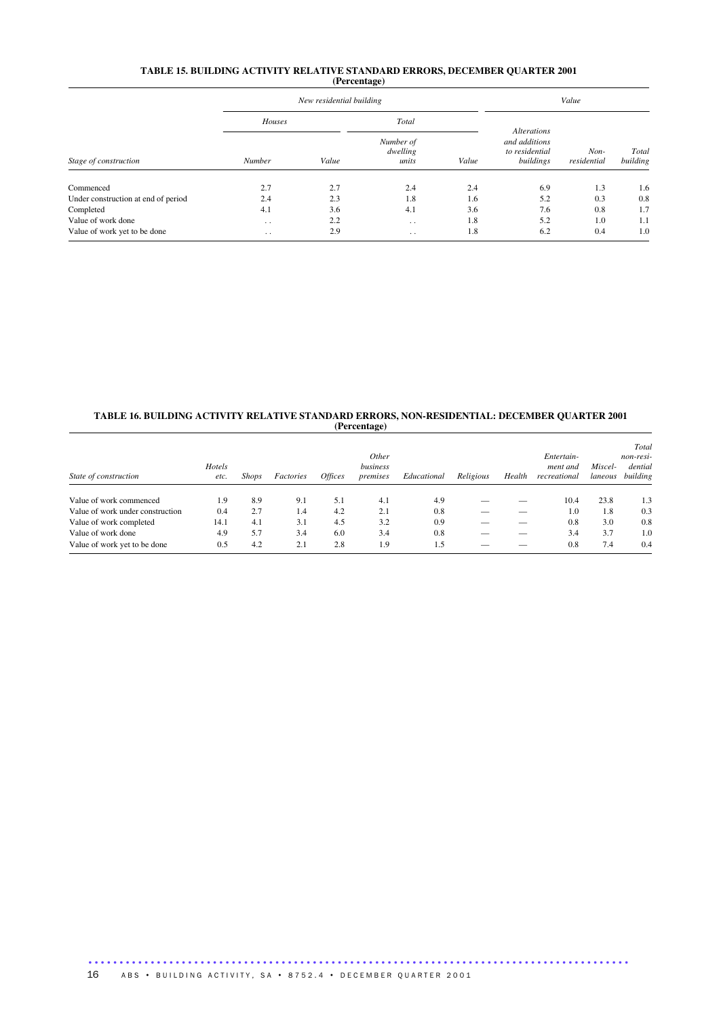#### **TABLE 15. BUILDING ACTIVITY RELATIVE STANDARD ERRORS, DECEMBER QUARTER 2001 (Percentage)**

|                                     |                      | New residential building |                                | Value |                                                                    |                     |                   |
|-------------------------------------|----------------------|--------------------------|--------------------------------|-------|--------------------------------------------------------------------|---------------------|-------------------|
|                                     | Houses               |                          | Total                          |       |                                                                    |                     |                   |
| Stage of construction               | Number               | Value                    | Number of<br>dwelling<br>units | Value | <b>Alterations</b><br>and additions<br>to residential<br>buildings | Non-<br>residential | Total<br>building |
| Commenced                           | 2.7                  | 2.7                      | 2.4                            | 2.4   | 6.9                                                                | 1.3                 | 1.6               |
| Under construction at end of period | 2.4                  | 2.3                      | 1.8                            | 1.6   | 5.2                                                                | 0.3                 | 0.8               |
| Completed                           | 4.1                  | 3.6                      | 4.1                            | 3.6   | 7.6                                                                | 0.8                 | 1.7               |
| Value of work done                  | $\ddotsc$            | 2.2                      | $\ddot{\phantom{0}}$           | 1.8   | 5.2                                                                | 1.0                 | 1.1               |
| Value of work yet to be done        | $\ddot{\phantom{0}}$ | 2.9                      | $\sim$                         | 1.8   | 6.2                                                                | 0.4                 | 1.0               |

#### **TABLE 16. BUILDING ACTIVITY RELATIVE STANDARD ERRORS, NON-RESIDENTIAL: DECEMBER QUARTER 2001 (Percentage)**

| State of construction            | Hotels<br>etc. | <b>Shops</b> | Factories | <i>Offices</i> | Other<br>business<br>premises | Educational | Religious | Health | Entertain-<br>ment and<br>recreational | Miscel-<br>laneous | Total<br>non-resi-<br>dential<br>building |
|----------------------------------|----------------|--------------|-----------|----------------|-------------------------------|-------------|-----------|--------|----------------------------------------|--------------------|-------------------------------------------|
|                                  |                |              |           |                |                               |             |           |        |                                        |                    |                                           |
| Value of work commenced          | 1.9            | 8.9          | 9.1       | 5.1            | 4.1                           | 4.9         |           |        | 10.4                                   | 23.8               | 1.3                                       |
| Value of work under construction | 0.4            | 2.7          | 1.4       | 4.2            | 2.1                           | 0.8         |           |        | 1.0                                    | 1.8                | 0.3                                       |
| Value of work completed          | 14.1           | 4.1          | 3.1       | 4.5            | 3.2                           | 0.9         |           |        | 0.8                                    | 3.0                | 0.8                                       |
| Value of work done               | 4.9            | 5.7          | 3.4       | 6.0            | 3.4                           | 0.8         |           |        | 3.4                                    | 3.7                | 1.0                                       |
| Value of work yet to be done     | 0.5            | 4.2          | 2.1       | 2.8            | 1.9                           | 1.5         |           |        | 0.8                                    | 7.4                | 0.4                                       |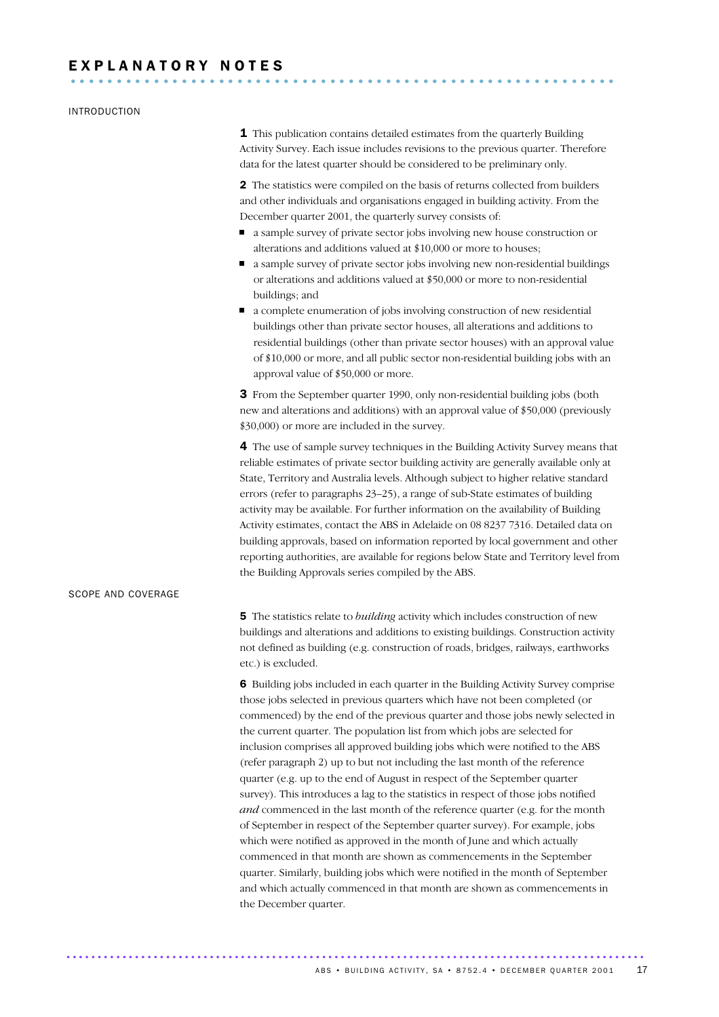## INTRODUCTION

**1** This publication contains detailed estimates from the quarterly Building Activity Survey. Each issue includes revisions to the previous quarter. Therefore data for the latest quarter should be considered to be preliminary only.

2 The statistics were compiled on the basis of returns collected from builders and other individuals and organisations engaged in building activity. From the December quarter 2001, the quarterly survey consists of:

- a sample survey of private sector jobs involving new house construction or alterations and additions valued at \$10,000 or more to houses;
- a sample survey of private sector jobs involving new non-residential buildings or alterations and additions valued at \$50,000 or more to non-residential buildings; and
- a complete enumeration of jobs involving construction of new residential buildings other than private sector houses, all alterations and additions to residential buildings (other than private sector houses) with an approval value of \$10,000 or more, and all public sector non-residential building jobs with an approval value of \$50,000 or more.

3 From the September quarter 1990, only non-residential building jobs (both new and alterations and additions) with an approval value of \$50,000 (previously \$30,000) or more are included in the survey.

4 The use of sample survey techniques in the Building Activity Survey means that reliable estimates of private sector building activity are generally available only at State, Territory and Australia levels. Although subject to higher relative standard errors (refer to paragraphs 23–25), a range of sub-State estimates of building activity may be available. For further information on the availability of Building Activity estimates, contact the ABS in Adelaide on 08 8237 7316. Detailed data on building approvals, based on information reported by local government and other reporting authorities, are available for regions below State and Territory level from the Building Approvals series compiled by the ABS.

## SCOPE AND COVERAGE

5 The statistics relate to *building* activity which includes construction of new buildings and alterations and additions to existing buildings. Construction activity not defined as building (e.g. construction of roads, bridges, railways, earthworks etc.) is excluded.

6 Building jobs included in each quarter in the Building Activity Survey comprise those jobs selected in previous quarters which have not been completed (or commenced) by the end of the previous quarter and those jobs newly selected in the current quarter. The population list from which jobs are selected for inclusion comprises all approved building jobs which were notified to the ABS (refer paragraph 2) up to but not including the last month of the reference quarter (e.g. up to the end of August in respect of the September quarter survey). This introduces a lag to the statistics in respect of those jobs notified *and* commenced in the last month of the reference quarter (e.g. for the month of September in respect of the September quarter survey). For example, jobs which were notified as approved in the month of June and which actually commenced in that month are shown as commencements in the September quarter. Similarly, building jobs which were notified in the month of September and which actually commenced in that month are shown as commencements in the December quarter.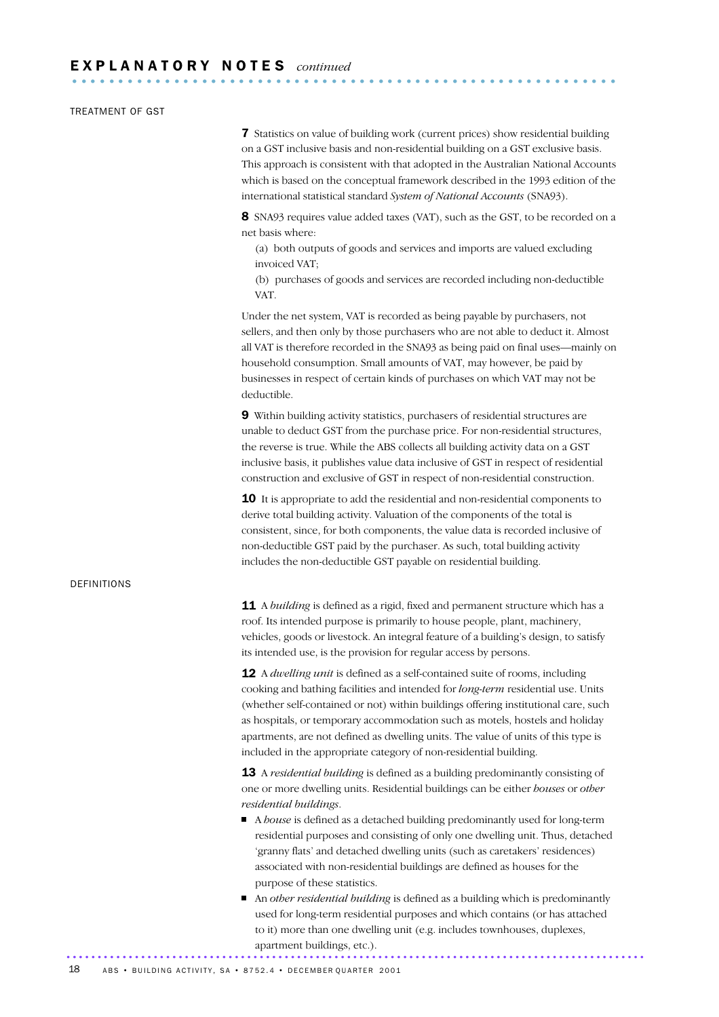## TREATMENT OF GST

7 Statistics on value of building work (current prices) show residential building on a GST inclusive basis and non-residential building on a GST exclusive basis. This approach is consistent with that adopted in the Australian National Accounts which is based on the conceptual framework described in the 1993 edition of the international statistical standard *System of National Accounts* (SNA93).

8 SNA93 requires value added taxes (VAT), such as the GST, to be recorded on a net basis where:

(a) both outputs of goods and services and imports are valued excluding invoiced VAT;

(b) purchases of goods and services are recorded including non-deductible VAT.

Under the net system, VAT is recorded as being payable by purchasers, not sellers, and then only by those purchasers who are not able to deduct it. Almost all VAT is therefore recorded in the SNA93 as being paid on final uses—mainly on household consumption. Small amounts of VAT, may however, be paid by businesses in respect of certain kinds of purchases on which VAT may not be deductible.

9 Within building activity statistics, purchasers of residential structures are unable to deduct GST from the purchase price. For non-residential structures, the reverse is true. While the ABS collects all building activity data on a GST inclusive basis, it publishes value data inclusive of GST in respect of residential construction and exclusive of GST in respect of non-residential construction.

10 It is appropriate to add the residential and non-residential components to derive total building activity. Valuation of the components of the total is consistent, since, for both components, the value data is recorded inclusive of non-deductible GST paid by the purchaser. As such, total building activity includes the non-deductible GST payable on residential building.

### DEFINITIONS

**11** A *building* is defined as a rigid, fixed and permanent structure which has a roof. Its intended purpose is primarily to house people, plant, machinery, vehicles, goods or livestock. An integral feature of a building's design, to satisfy its intended use, is the provision for regular access by persons.

12 A *dwelling unit* is defined as a self-contained suite of rooms, including cooking and bathing facilities and intended for *long-term* residential use. Units (whether self-contained or not) within buildings offering institutional care, such as hospitals, or temporary accommodation such as motels, hostels and holiday apartments, are not defined as dwelling units. The value of units of this type is included in the appropriate category of non-residential building.

13 A *residential building* is defined as a building predominantly consisting of one or more dwelling units. Residential buildings can be either *houses* or *other residential buildings*.

- A *house* is defined as a detached building predominantly used for long-term residential purposes and consisting of only one dwelling unit. Thus, detached 'granny flats' and detached dwelling units (such as caretakers' residences) associated with non-residential buildings are defined as houses for the purpose of these statistics.
- An *other residential building* is defined as a building which is predominantly used for long-term residential purposes and which contains (or has attached to it) more than one dwelling unit (e.g. includes townhouses, duplexes, apartment buildings, etc.). .............................................................................................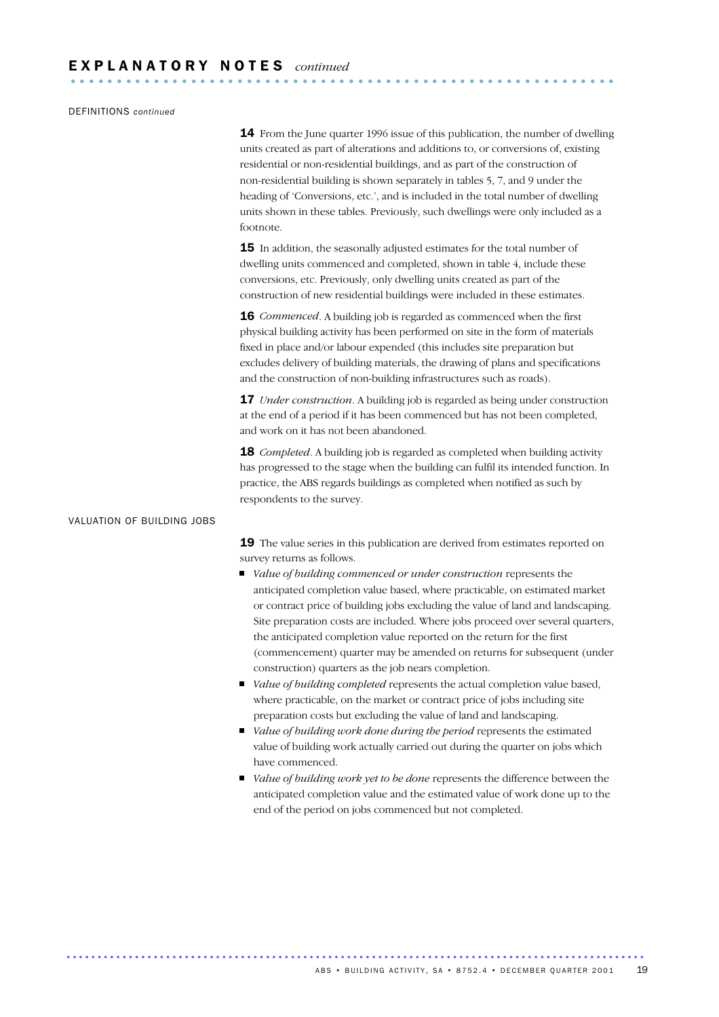## DEFINITIONS *continued*

**14** From the June quarter 1996 issue of this publication, the number of dwelling units created as part of alterations and additions to, or conversions of, existing residential or non-residential buildings, and as part of the construction of non-residential building is shown separately in tables 5, 7, and 9 under the heading of 'Conversions, etc.', and is included in the total number of dwelling units shown in these tables. Previously, such dwellings were only included as a footnote.

**15** In addition, the seasonally adjusted estimates for the total number of dwelling units commenced and completed, shown in table 4, include these conversions, etc. Previously, only dwelling units created as part of the construction of new residential buildings were included in these estimates.

**16** *Commenced*. A building job is regarded as commenced when the first physical building activity has been performed on site in the form of materials fixed in place and/or labour expended (this includes site preparation but excludes delivery of building materials, the drawing of plans and specifications and the construction of non-building infrastructures such as roads).

**17** *Under construction*. A building job is regarded as being under construction at the end of a period if it has been commenced but has not been completed, and work on it has not been abandoned.

18 *Completed*. A building job is regarded as completed when building activity has progressed to the stage when the building can fulfil its intended function. In practice, the ABS regards buildings as completed when notified as such by respondents to the survey.

## VALUATION OF BUILDING JOBS

19 The value series in this publication are derived from estimates reported on survey returns as follows.

- *Value of building commenced or under construction* represents the anticipated completion value based, where practicable, on estimated market or contract price of building jobs excluding the value of land and landscaping. Site preparation costs are included. Where jobs proceed over several quarters, the anticipated completion value reported on the return for the first (commencement) quarter may be amended on returns for subsequent (under construction) quarters as the job nears completion.
- *Value of building completed* represents the actual completion value based, where practicable, on the market or contract price of jobs including site preparation costs but excluding the value of land and landscaping.
- *Value of building work done during the period* represents the estimated value of building work actually carried out during the quarter on jobs which have commenced.
- *Value of building work yet to be done* represents the difference between the anticipated completion value and the estimated value of work done up to the end of the period on jobs commenced but not completed.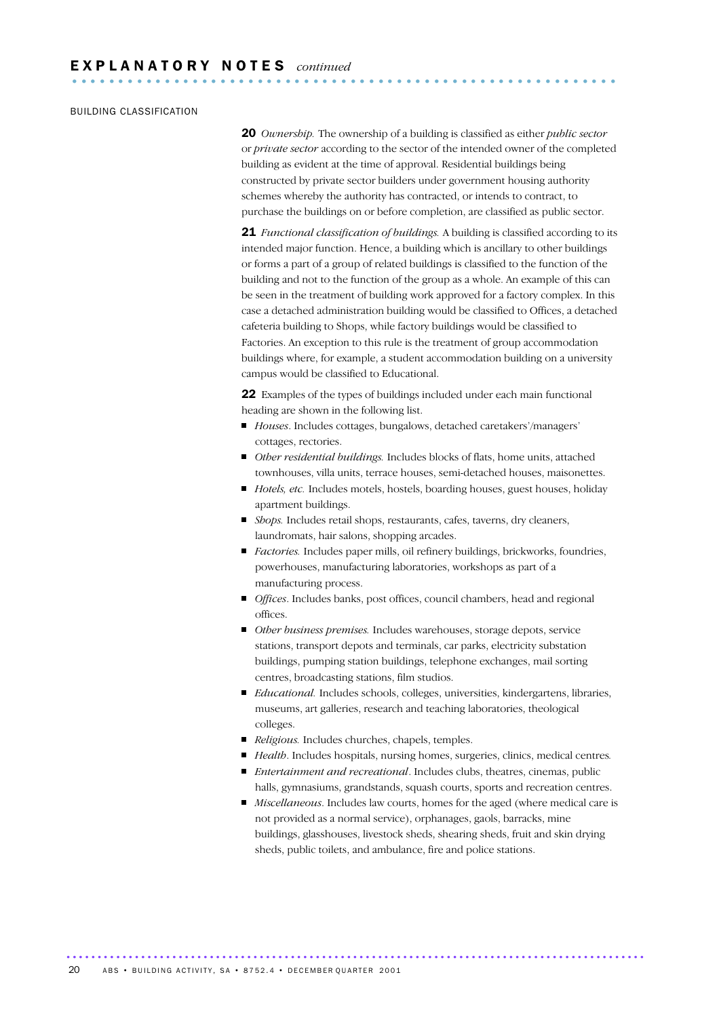## BUILDING CLASSIFICATION

20 *Ownership.* The ownership of a building is classified as either *public sector* or *private sector* according to the sector of the intended owner of the completed building as evident at the time of approval. Residential buildings being constructed by private sector builders under government housing authority schemes whereby the authority has contracted, or intends to contract, to purchase the buildings on or before completion, are classified as public sector.

21 *Functional classification of buildings.* A building is classified according to its intended major function. Hence, a building which is ancillary to other buildings or forms a part of a group of related buildings is classified to the function of the building and not to the function of the group as a whole. An example of this can be seen in the treatment of building work approved for a factory complex. In this case a detached administration building would be classified to Offices, a detached cafeteria building to Shops, while factory buildings would be classified to Factories. An exception to this rule is the treatment of group accommodation buildings where, for example, a student accommodation building on a university campus would be classified to Educational.

22 Examples of the types of buildings included under each main functional heading are shown in the following list.

- *Houses*. Includes cottages, bungalows, detached caretakers'/managers' cottages, rectories.
- *Other residential buildings.* Includes blocks of flats, home units, attached townhouses, villa units, terrace houses, semi-detached houses, maisonettes.
- *Hotels, etc.* Includes motels, hostels, boarding houses, guest houses, holiday apartment buildings.
- *Shops.* Includes retail shops, restaurants, cafes, taverns, dry cleaners, laundromats, hair salons, shopping arcades.
- *Factories.* Includes paper mills, oil refinery buildings, brickworks, foundries, powerhouses, manufacturing laboratories, workshops as part of a manufacturing process.
- *Offices*. Includes banks, post offices, council chambers, head and regional offices.
- *Other business premises.* Includes warehouses, storage depots, service stations, transport depots and terminals, car parks, electricity substation buildings, pumping station buildings, telephone exchanges, mail sorting centres, broadcasting stations, film studios.
- *Educational.* Includes schools, colleges, universities, kindergartens, libraries, museums, art galleries, research and teaching laboratories, theological colleges.
- *Religious*. Includes churches, chapels, temples.
- *Health*. Includes hospitals, nursing homes, surgeries, clinics, medical centres.
- *Entertainment and recreational*. Includes clubs, theatres, cinemas, public halls, gymnasiums, grandstands, squash courts, sports and recreation centres.
- *Miscellaneous*. Includes law courts, homes for the aged (where medical care is not provided as a normal service), orphanages, gaols, barracks, mine buildings, glasshouses, livestock sheds, shearing sheds, fruit and skin drying sheds, public toilets, and ambulance, fire and police stations.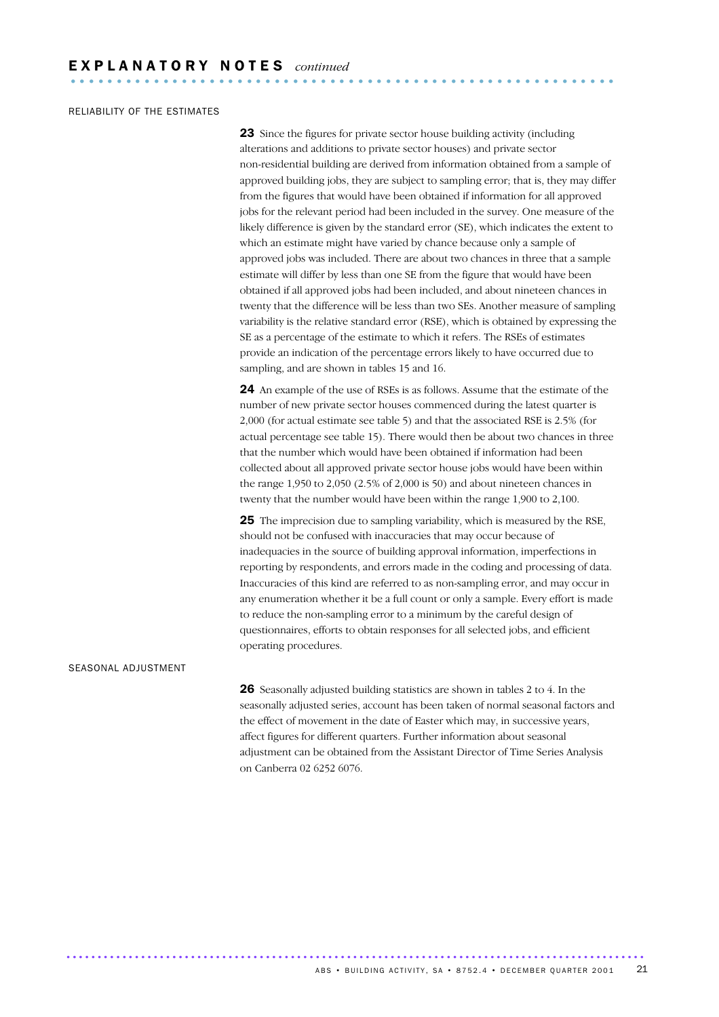## RELIABILITY OF THE ESTIMATES

23 Since the figures for private sector house building activity (including alterations and additions to private sector houses) and private sector non-residential building are derived from information obtained from a sample of approved building jobs, they are subject to sampling error; that is, they may differ from the figures that would have been obtained if information for all approved jobs for the relevant period had been included in the survey. One measure of the likely difference is given by the standard error (SE), which indicates the extent to which an estimate might have varied by chance because only a sample of approved jobs was included. There are about two chances in three that a sample estimate will differ by less than one SE from the figure that would have been obtained if all approved jobs had been included, and about nineteen chances in twenty that the difference will be less than two SEs. Another measure of sampling variability is the relative standard error (RSE), which is obtained by expressing the SE as a percentage of the estimate to which it refers. The RSEs of estimates provide an indication of the percentage errors likely to have occurred due to sampling, and are shown in tables 15 and 16.

24 An example of the use of RSEs is as follows. Assume that the estimate of the number of new private sector houses commenced during the latest quarter is 2,000 (for actual estimate see table 5) and that the associated RSE is 2.5% (for actual percentage see table 15). There would then be about two chances in three that the number which would have been obtained if information had been collected about all approved private sector house jobs would have been within the range 1,950 to 2,050 (2.5% of 2,000 is 50) and about nineteen chances in twenty that the number would have been within the range 1,900 to 2,100.

25 The imprecision due to sampling variability, which is measured by the RSE, should not be confused with inaccuracies that may occur because of inadequacies in the source of building approval information, imperfections in reporting by respondents, and errors made in the coding and processing of data. Inaccuracies of this kind are referred to as non-sampling error, and may occur in any enumeration whether it be a full count or only a sample. Every effort is made to reduce the non-sampling error to a minimum by the careful design of questionnaires, efforts to obtain responses for all selected jobs, and efficient operating procedures.

#### SEASONAL ADJUSTMENT

26 Seasonally adjusted building statistics are shown in tables 2 to 4. In the seasonally adjusted series, account has been taken of normal seasonal factors and the effect of movement in the date of Easter which may, in successive years, affect figures for different quarters. Further information about seasonal adjustment can be obtained from the Assistant Director of Time Series Analysis on Canberra 02 6252 6076.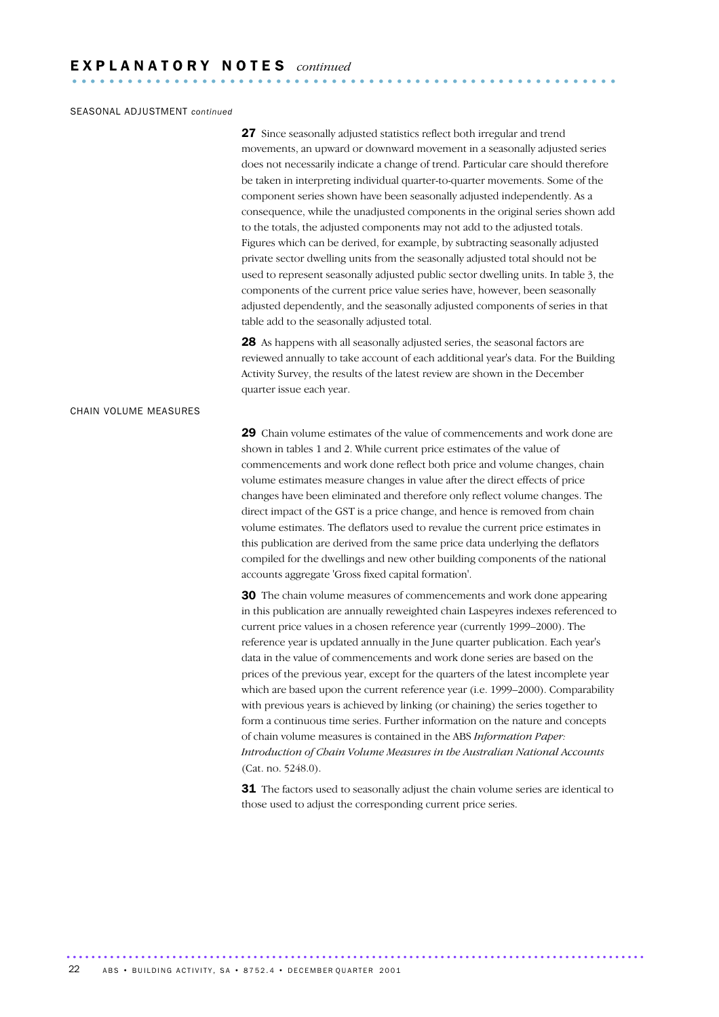## SEASONAL ADJUSTMENT *continued*

27 Since seasonally adjusted statistics reflect both irregular and trend movements, an upward or downward movement in a seasonally adjusted series does not necessarily indicate a change of trend. Particular care should therefore be taken in interpreting individual quarter-to-quarter movements. Some of the component series shown have been seasonally adjusted independently. As a consequence, while the unadjusted components in the original series shown add to the totals, the adjusted components may not add to the adjusted totals. Figures which can be derived, for example, by subtracting seasonally adjusted private sector dwelling units from the seasonally adjusted total should not be used to represent seasonally adjusted public sector dwelling units. In table 3, the components of the current price value series have, however, been seasonally adjusted dependently, and the seasonally adjusted components of series in that table add to the seasonally adjusted total.

28 As happens with all seasonally adjusted series, the seasonal factors are reviewed annually to take account of each additional year's data. For the Building Activity Survey, the results of the latest review are shown in the December quarter issue each year.

#### CHAIN VOLUME MEASURES

29 Chain volume estimates of the value of commencements and work done are shown in tables 1 and 2. While current price estimates of the value of commencements and work done reflect both price and volume changes, chain volume estimates measure changes in value after the direct effects of price changes have been eliminated and therefore only reflect volume changes. The direct impact of the GST is a price change, and hence is removed from chain volume estimates. The deflators used to revalue the current price estimates in this publication are derived from the same price data underlying the deflators compiled for the dwellings and new other building components of the national accounts aggregate 'Gross fixed capital formation'.

30 The chain volume measures of commencements and work done appearing in this publication are annually reweighted chain Laspeyres indexes referenced to current price values in a chosen reference year (currently 1999–2000). The reference year is updated annually in the June quarter publication. Each year's data in the value of commencements and work done series are based on the prices of the previous year, except for the quarters of the latest incomplete year which are based upon the current reference year (i.e. 1999–2000). Comparability with previous years is achieved by linking (or chaining) the series together to form a continuous time series. Further information on the nature and concepts of chain volume measures is contained in the ABS *Information Paper: Introduction of Chain Volume Measures in the Australian National Accounts* (Cat. no. 5248.0).

**31** The factors used to seasonally adjust the chain volume series are identical to those used to adjust the corresponding current price series.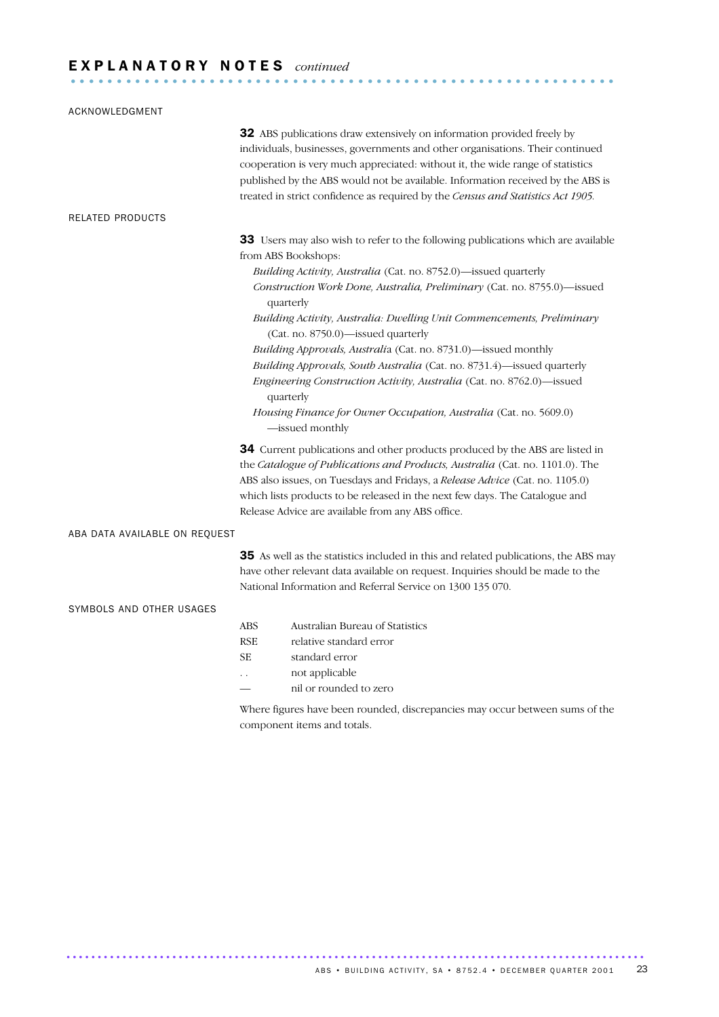## E X P L A N A T O R Y N O T E S *continued* ...........................................................

| ACKNOWLEDGMENT                |                                                                                                                                                                                                                                                                                                                                                                                                                                                                                                                                                                                                                                                                                                               |
|-------------------------------|---------------------------------------------------------------------------------------------------------------------------------------------------------------------------------------------------------------------------------------------------------------------------------------------------------------------------------------------------------------------------------------------------------------------------------------------------------------------------------------------------------------------------------------------------------------------------------------------------------------------------------------------------------------------------------------------------------------|
|                               | 32 ABS publications draw extensively on information provided freely by<br>individuals, businesses, governments and other organisations. Their continued<br>cooperation is very much appreciated: without it, the wide range of statistics<br>published by the ABS would not be available. Information received by the ABS is<br>treated in strict confidence as required by the Census and Statistics Act 1905.                                                                                                                                                                                                                                                                                               |
| <b>RELATED PRODUCTS</b>       |                                                                                                                                                                                                                                                                                                                                                                                                                                                                                                                                                                                                                                                                                                               |
|                               | 33 Users may also wish to refer to the following publications which are available<br>from ABS Bookshops:<br>Building Activity, Australia (Cat. no. 8752.0)-issued quarterly<br>Construction Work Done, Australia, Preliminary (Cat. no. 8755.0)-issued<br>quarterly<br>Building Activity, Australia: Dwelling Unit Commencements, Preliminary<br>(Cat. no. 8750.0)-issued quarterly<br>Building Approvals, Australia (Cat. no. 8731.0)-issued monthly<br>Building Approvals, South Australia (Cat. no. 8731.4)-issued quarterly<br>Engineering Construction Activity, Australia (Cat. no. 8762.0)-issued<br>quarterly<br>Housing Finance for Owner Occupation, Australia (Cat. no. 5609.0)<br>-issued monthly |
|                               | 34 Current publications and other products produced by the ABS are listed in<br>the Catalogue of Publications and Products, Australia (Cat. no. 1101.0). The<br>ABS also issues, on Tuesdays and Fridays, a Release Advice (Cat. no. 1105.0)<br>which lists products to be released in the next few days. The Catalogue and<br>Release Advice are available from any ABS office.                                                                                                                                                                                                                                                                                                                              |
| ABA DATA AVAILABLE ON REQUEST |                                                                                                                                                                                                                                                                                                                                                                                                                                                                                                                                                                                                                                                                                                               |
|                               | 35 As well as the statistics included in this and related publications, the ABS may<br>have other relevant data available on request. Inquiries should be made to the<br>National Information and Referral Service on 1300 135 070.                                                                                                                                                                                                                                                                                                                                                                                                                                                                           |
| SYMBOLS AND OTHER USAGES      | Australian Bureau of Statistics<br><b>ABS</b><br>relative standard error<br><b>RSE</b><br><b>SE</b><br>standard error<br>not applicable<br>nil or rounded to zero                                                                                                                                                                                                                                                                                                                                                                                                                                                                                                                                             |

Where figures have been rounded, discrepancies may occur between sums of the component items and totals.